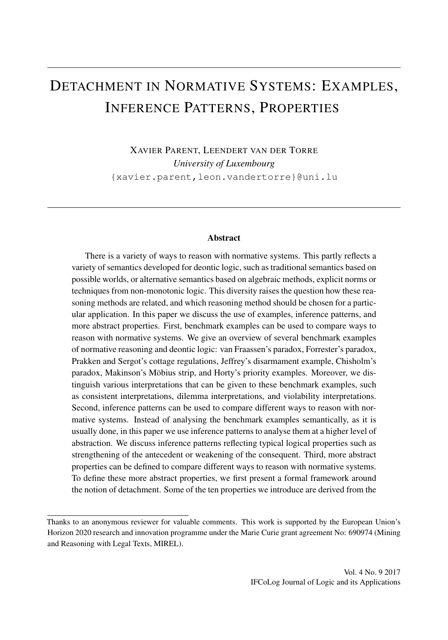# DETACHMENT IN NORMATIVE SYSTEMS: EXAMPLES, INFERENCE PATTERNS, PROPERTIES

XAVIER PARENT, LEENDERT VAN DER TORRE *University of Luxembourg* {xavier.parent,leon.vandertorre}@uni.lu

#### **Abstract**

There is a variety of ways to reason with normative systems. This partly reflects a variety of semantics developed for deontic logic, such as traditional semantics based on possible worlds, or alternative semantics based on algebraic methods, explicit norms or techniques from non-monotonic logic. This diversity raises the question how these reasoning methods are related, and which reasoning method should be chosen for a particular application. In this paper we discuss the use of examples, inference patterns, and more abstract properties. First, benchmark examples can be used to compare ways to reason with normative systems. We give an overview of several benchmark examples of normative reasoning and deontic logic: van Fraassen's paradox, Forrester's paradox, Prakken and Sergot's cottage regulations, Jeffrey's disarmament example, Chisholm's paradox, Makinson's Möbius strip, and Horty's priority examples. Moreover, we distinguish various interpretations that can be given to these benchmark examples, such as consistent interpretations, dilemma interpretations, and violability interpretations. Second, inference patterns can be used to compare different ways to reason with normative systems. Instead of analysing the benchmark examples semantically, as it is usually done, in this paper we use inference patterns to analyse them at a higher level of abstraction. We discuss inference patterns reflecting typical logical properties such as strengthening of the antecedent or weakening of the consequent. Third, more abstract properties can be defined to compare different ways to reason with normative systems. To define these more abstract properties, we first present a formal framework around the notion of detachment. Some of the ten properties we introduce are derived from the

Thanks to an anonymous reviewer for valuable comments. This work is supported by the European Union's Horizon 2020 research and innovation programme under the Marie Curie grant agreement No: 690974 (Mining and Reasoning with Legal Texts, MIREL).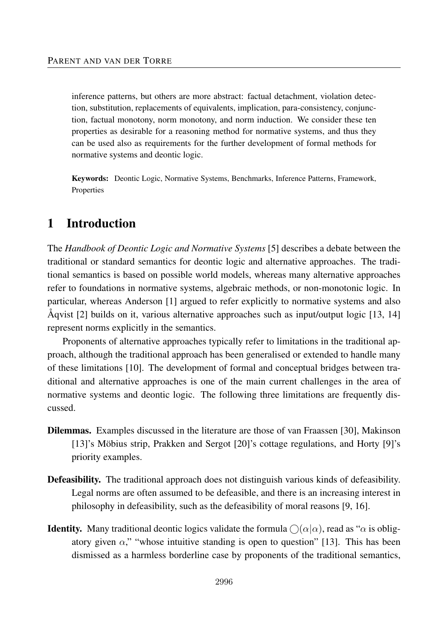inference patterns, but others are more abstract: factual detachment, violation detection, substitution, replacements of equivalents, implication, para-consistency, conjunction, factual monotony, norm monotony, and norm induction. We consider these ten properties as desirable for a reasoning method for normative systems, and thus they can be used also as requirements for the further development of formal methods for normative systems and deontic logic.

Keywords: Deontic Logic, Normative Systems, Benchmarks, Inference Patterns, Framework, Properties

# 1 Introduction

The *Handbook of Deontic Logic and Normative Systems* [5] describes a debate between the traditional or standard semantics for deontic logic and alternative approaches. The traditional semantics is based on possible world models, whereas many alternative approaches refer to foundations in normative systems, algebraic methods, or non-monotonic logic. In particular, whereas Anderson [1] argued to refer explicitly to normative systems and also Åqvist [2] builds on it, various alternative approaches such as input/output logic [13, 14] represent norms explicitly in the semantics.

Proponents of alternative approaches typically refer to limitations in the traditional approach, although the traditional approach has been generalised or extended to handle many of these limitations [10]. The development of formal and conceptual bridges between traditional and alternative approaches is one of the main current challenges in the area of normative systems and deontic logic. The following three limitations are frequently discussed.

- Dilemmas. Examples discussed in the literature are those of van Fraassen [30], Makinson [13]'s Möbius strip, Prakken and Sergot [20]'s cottage regulations, and Horty [9]'s priority examples.
- Defeasibility. The traditional approach does not distinguish various kinds of defeasibility. Legal norms are often assumed to be defeasible, and there is an increasing interest in philosophy in defeasibility, such as the defeasibility of moral reasons [9, 16].
- **Identity.** Many traditional deontic logics validate the formula  $\bigcirc$  ( $\alpha$ | $\alpha$ ), read as " $\alpha$  is obligatory given  $\alpha$ ," "whose intuitive standing is open to question" [13]. This has been dismissed as a harmless borderline case by proponents of the traditional semantics,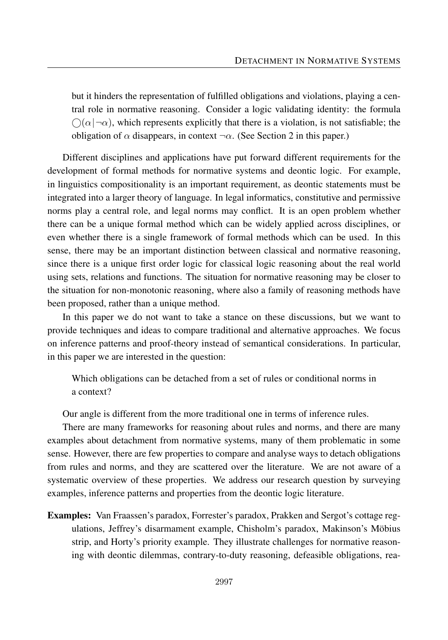but it hinders the representation of fulfilled obligations and violations, playing a central role in normative reasoning. Consider a logic validating identity: the formula  $\bigcap(\alpha \,|\, \neg \alpha)$ , which represents explicitly that there is a violation, is not satisfiable; the obligation of  $\alpha$  disappears, in context  $\neg \alpha$ . (See Section 2 in this paper.)

Different disciplines and applications have put forward different requirements for the development of formal methods for normative systems and deontic logic. For example, in linguistics compositionality is an important requirement, as deontic statements must be integrated into a larger theory of language. In legal informatics, constitutive and permissive norms play a central role, and legal norms may conflict. It is an open problem whether there can be a unique formal method which can be widely applied across disciplines, or even whether there is a single framework of formal methods which can be used. In this sense, there may be an important distinction between classical and normative reasoning, since there is a unique first order logic for classical logic reasoning about the real world using sets, relations and functions. The situation for normative reasoning may be closer to the situation for non-monotonic reasoning, where also a family of reasoning methods have been proposed, rather than a unique method.

In this paper we do not want to take a stance on these discussions, but we want to provide techniques and ideas to compare traditional and alternative approaches. We focus on inference patterns and proof-theory instead of semantical considerations. In particular, in this paper we are interested in the question:

Which obligations can be detached from a set of rules or conditional norms in a context?

Our angle is different from the more traditional one in terms of inference rules.

There are many frameworks for reasoning about rules and norms, and there are many examples about detachment from normative systems, many of them problematic in some sense. However, there are few properties to compare and analyse ways to detach obligations from rules and norms, and they are scattered over the literature. We are not aware of a systematic overview of these properties. We address our research question by surveying examples, inference patterns and properties from the deontic logic literature.

Examples: Van Fraassen's paradox, Forrester's paradox, Prakken and Sergot's cottage regulations, Jeffrey's disarmament example, Chisholm's paradox, Makinson's Möbius strip, and Horty's priority example. They illustrate challenges for normative reasoning with deontic dilemmas, contrary-to-duty reasoning, defeasible obligations, rea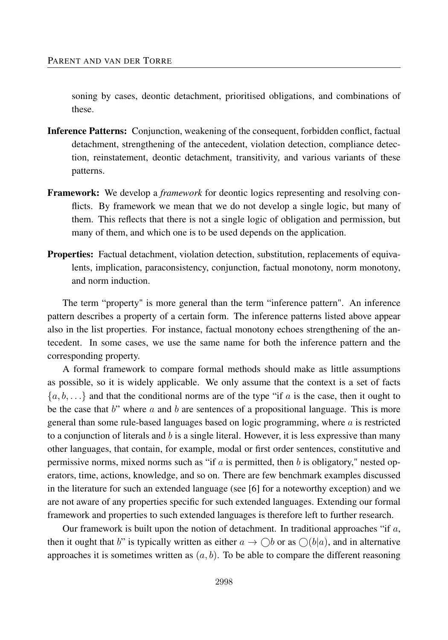soning by cases, deontic detachment, prioritised obligations, and combinations of these.

- Inference Patterns: Conjunction, weakening of the consequent, forbidden conflict, factual detachment, strengthening of the antecedent, violation detection, compliance detection, reinstatement, deontic detachment, transitivity, and various variants of these patterns.
- Framework: We develop a *framework* for deontic logics representing and resolving conflicts. By framework we mean that we do not develop a single logic, but many of them. This reflects that there is not a single logic of obligation and permission, but many of them, and which one is to be used depends on the application.
- Properties: Factual detachment, violation detection, substitution, replacements of equivalents, implication, paraconsistency, conjunction, factual monotony, norm monotony, and norm induction.

The term "property" is more general than the term "inference pattern". An inference pattern describes a property of a certain form. The inference patterns listed above appear also in the list properties. For instance, factual monotony echoes strengthening of the antecedent. In some cases, we use the same name for both the inference pattern and the corresponding property.

A formal framework to compare formal methods should make as little assumptions as possible, so it is widely applicable. We only assume that the context is a set of facts  $\{a, b, \ldots\}$  and that the conditional norms are of the type "if *a* is the case, then it ought to be the case that *b*" where *a* and *b* are sentences of a propositional language. This is more general than some rule-based languages based on logic programming, where *a* is restricted to a conjunction of literals and *b* is a single literal. However, it is less expressive than many other languages, that contain, for example, modal or first order sentences, constitutive and permissive norms, mixed norms such as "if *a* is permitted, then *b* is obligatory," nested operators, time, actions, knowledge, and so on. There are few benchmark examples discussed in the literature for such an extended language (see [6] for a noteworthy exception) and we are not aware of any properties specific for such extended languages. Extending our formal framework and properties to such extended languages is therefore left to further research.

Our framework is built upon the notion of detachment. In traditional approaches "if *a*, then it ought that *b*" is typically written as either  $a \to \bigcirc b$  or as  $\bigcirc(b|a)$ , and in alternative approaches it is sometimes written as  $(a, b)$ . To be able to compare the different reasoning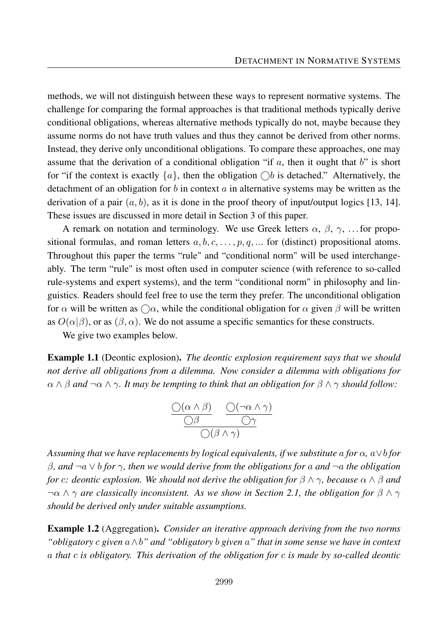methods, we will not distinguish between these ways to represent normative systems. The challenge for comparing the formal approaches is that traditional methods typically derive conditional obligations, whereas alternative methods typically do not, maybe because they assume norms do not have truth values and thus they cannot be derived from other norms. Instead, they derive only unconditional obligations. To compare these approaches, one may assume that the derivation of a conditional obligation "if *a*, then it ought that *b*" is short for "if the context is exactly  $\{a\}$ , then the obligation  $\bigcirc b$  is detached." Alternatively, the detachment of an obligation for *b* in context *a* in alternative systems may be written as the derivation of a pair  $(a, b)$ , as it is done in the proof theory of input/output logics [13, 14]. These issues are discussed in more detail in Section 3 of this paper.

A remark on notation and terminology. We use Greek letters  $\alpha$ ,  $\beta$ ,  $\gamma$ , ... for propositional formulas, and roman letters  $a, b, c, \ldots, p, q, \ldots$  for (distinct) propositional atoms. Throughout this paper the terms "rule" and "conditional norm" will be used interchangeably. The term "rule" is most often used in computer science (with reference to so-called rule-systems and expert systems), and the term "conditional norm" in philosophy and linguistics. Readers should feel free to use the term they prefer. The unconditional obligation for  $\alpha$  will be written as  $\bigcap \alpha$ , while the conditional obligation for  $\alpha$  given  $\beta$  will be written as  $O(\alpha|\beta)$ , or as  $(\beta, \alpha)$ . We do not assume a specific semantics for these constructs.

We give two examples below.

Example 1.1 (Deontic explosion). *The deontic explosion requirement says that we should not derive all obligations from a dilemma. Now consider a dilemma with obligations for*  $\alpha \wedge \beta$  *and*  $\neg \alpha \wedge \gamma$ *. It may be tempting to think that an obligation for*  $\beta \wedge \gamma$  *should follow:* 

$$
\frac{\bigcirc(\alpha \wedge \beta)}{\bigcirc\beta} \quad \frac{\bigcirc(\neg\alpha \wedge \gamma)}{\bigcirc\gamma}
$$

*Assuming that we have replacements by logical equivalents, if we substitute a for*  $\alpha$ ,  $a \vee b$  *for β, and* ¬*a* ∨ *b for γ, then we would derive from the obligations for a and* ¬*a the obligation for c: deontic explosion. We should not derive the obligation for*  $\beta \wedge \gamma$ *, because*  $\alpha \wedge \beta$  *and* ¬*α* ∧ *γ are classically inconsistent. As we show in Section 2.1, the obligation for β* ∧ *γ should be derived only under suitable assumptions.*

Example 1.2 (Aggregation). *Consider an iterative approach deriving from the two norms "obligatory c given a*∧*b" and "obligatory b given a" that in some sense we have in context a that c is obligatory. This derivation of the obligation for c is made by so-called deontic*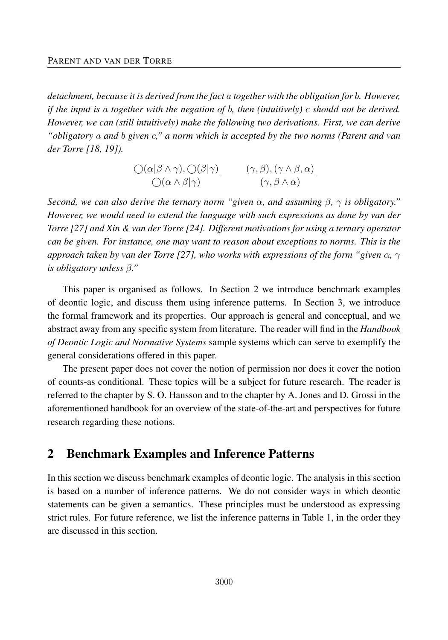*detachment, because it is derived from the fact a together with the obligation for b. However, if the input is a together with the negation of b, then (intuitively) c should not be derived. However, we can (still intuitively) make the following two derivations. First, we can derive "obligatory a and b given c," a norm which is accepted by the two norms (Parent and van der Torre [18, 19]).*

$$
\frac{\bigcirc(\alpha|\beta\land\gamma),\bigcirc(\beta|\gamma)}{\bigcirc(\alpha\land\beta|\gamma)} \qquad \frac{(\gamma,\beta),(\gamma\land\beta,\alpha)}{(\gamma,\beta\land\alpha)}
$$

*Second, we can also derive the ternary norm "given α, and assuming β, γ is obligatory." However, we would need to extend the language with such expressions as done by van der Torre [27] and Xin & van der Torre [24]. Different motivations for using a ternary operator can be given. For instance, one may want to reason about exceptions to norms. This is the approach taken by van der Torre [27], who works with expressions of the form "given α, γ is obligatory unless β."*

This paper is organised as follows. In Section 2 we introduce benchmark examples of deontic logic, and discuss them using inference patterns. In Section 3, we introduce the formal framework and its properties. Our approach is general and conceptual, and we abstract away from any specific system from literature. The reader will find in the *Handbook of Deontic Logic and Normative Systems* sample systems which can serve to exemplify the general considerations offered in this paper.

The present paper does not cover the notion of permission nor does it cover the notion of counts-as conditional. These topics will be a subject for future research. The reader is referred to the chapter by S. O. Hansson and to the chapter by A. Jones and D. Grossi in the aforementioned handbook for an overview of the state-of-the-art and perspectives for future research regarding these notions.

# 2 Benchmark Examples and Inference Patterns

In this section we discuss benchmark examples of deontic logic. The analysis in this section is based on a number of inference patterns. We do not consider ways in which deontic statements can be given a semantics. These principles must be understood as expressing strict rules. For future reference, we list the inference patterns in Table 1, in the order they are discussed in this section.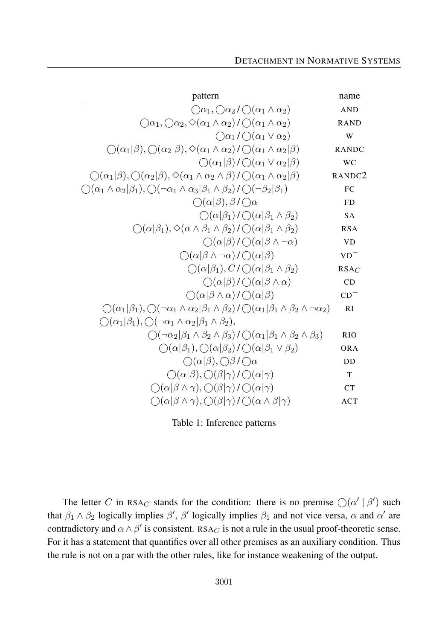| pattern                                                                                                                                                          | name               |
|------------------------------------------------------------------------------------------------------------------------------------------------------------------|--------------------|
| $\bigcirc \alpha_1, \bigcirc \alpha_2 \land \bigcirc (\alpha_1 \land \alpha_2)$                                                                                  | <b>AND</b>         |
| $\bigcirc \alpha_1, \bigcirc \alpha_2, \Diamond(\alpha_1 \wedge \alpha_2) / \bigcirc(\alpha_1 \wedge \alpha_2)$                                                  | <b>RAND</b>        |
| $\bigcirc \alpha_1 / \bigcirc (\alpha_1 \vee \alpha_2)$                                                                                                          | W                  |
| $\bigcirc(\alpha_1 \beta), \bigcirc(\alpha_2 \beta), \Diamond(\alpha_1 \wedge \alpha_2) \bigcirc (\alpha_1 \wedge \alpha_2 \beta)$                               | <b>RANDC</b>       |
| $\bigcirc$ ( $\alpha_1 \beta$ )/ $\bigcirc$ ( $\alpha_1 \vee \alpha_2 \beta)$                                                                                    | <b>WC</b>          |
| $\bigcirc(\alpha_1 \beta), \bigcirc(\alpha_2 \beta), \Diamond(\alpha_1 \wedge \alpha_2 \wedge \beta) / \bigcirc(\alpha_1 \wedge \alpha_2 \beta)$                 | RANDC <sub>2</sub> |
| $\bigcirc (\alpha_1 \wedge \alpha_2   \beta_1), \bigcirc (\neg \alpha_1 \wedge \alpha_3   \beta_1 \wedge \beta_2) / \bigcirc (\neg \beta_2   \beta_1)$           | FC                 |
| $\bigcirc(\alpha \beta),\beta/\bigcirc\alpha$                                                                                                                    | <b>FD</b>          |
| $\bigcirc(\alpha \beta_1)/\bigcirc(\alpha \beta_1\wedge\beta_2)$                                                                                                 | <b>SA</b>          |
| $\bigcirc(\alpha \beta_1), \Diamond(\alpha \wedge \beta_1 \wedge \beta_2) / \bigcirc(\alpha \beta_1 \wedge \beta_2)$                                             | <b>RSA</b>         |
| $\bigcirc(\alpha \beta)/\bigcirc(\alpha \beta\wedge\neg\alpha)$                                                                                                  | <b>VD</b>          |
| $\bigcap(\alpha \beta\wedge\neg\alpha)/\bigcap(\alpha \beta)$                                                                                                    | $VD^-$             |
| $\bigcirc(\alpha \beta_1), C/\bigcirc(\alpha \beta_1 \wedge \beta_2)$                                                                                            | $RSA_C$            |
| $\bigcirc(\alpha \beta)/\bigcirc(\alpha \beta\wedge\alpha)$                                                                                                      | CD                 |
| $\bigcirc(\alpha \beta\wedge\alpha)/\bigcirc(\alpha \beta)$                                                                                                      | $CD^-$             |
| $\bigcirc (\alpha_1 \beta_1), \bigcirc (\neg \alpha_1 \wedge \alpha_2 \beta_1 \wedge \beta_2) / \bigcirc (\alpha_1 \beta_1 \wedge \beta_2 \wedge \neg \alpha_2)$ | RI                 |
| $\bigcirc$ $(\alpha_1 \beta_1), \bigcirc$ $(\neg \alpha_1 \land \alpha_2 \beta_1 \land \beta_2),$                                                                |                    |
| $\bigcirc (\neg \alpha_2   \beta_1 \wedge \beta_2 \wedge \beta_3) / \bigcirc (\alpha_1   \beta_1 \wedge \beta_2 \wedge \beta_3)$                                 | <b>RIO</b>         |
| $\bigcirc(\alpha \beta_1), \bigcirc(\alpha \beta_2)/\bigcirc(\alpha \beta_1 \vee \beta_2)$                                                                       | <b>ORA</b>         |
| $\bigcirc(\alpha \beta),\bigcirc\beta/\bigcirc\alpha$                                                                                                            | DD                 |
| $\bigcirc(\alpha \beta),\bigcirc(\beta \gamma)/\bigcirc(\alpha \gamma)$                                                                                          | T                  |
| $\bigcirc(\alpha \beta\wedge\gamma),\bigcirc(\beta \gamma)/\bigcirc(\alpha \gamma)$                                                                              | CT                 |
| $\bigcirc(\alpha \beta\wedge\gamma),\bigcirc(\beta \gamma)/\bigcirc(\alpha\wedge\beta \gamma)$                                                                   | <b>ACT</b>         |

Table 1: Inference patterns

The letter *C* in RSA<sub>*C*</sub> stands for the condition: there is no premise  $\bigcirc$  ( $\alpha' \mid \beta'$ ) such that  $\beta_1 \wedge \beta_2$  logically implies  $\beta'$ ,  $\beta'$  logically implies  $\beta_1$  and not vice versa,  $\alpha$  and  $\alpha'$  are contradictory and  $\alpha \wedge \beta'$  is consistent. RSA<sub>*C*</sub> is not a rule in the usual proof-theoretic sense. For it has a statement that quantifies over all other premises as an auxiliary condition. Thus the rule is not on a par with the other rules, like for instance weakening of the output.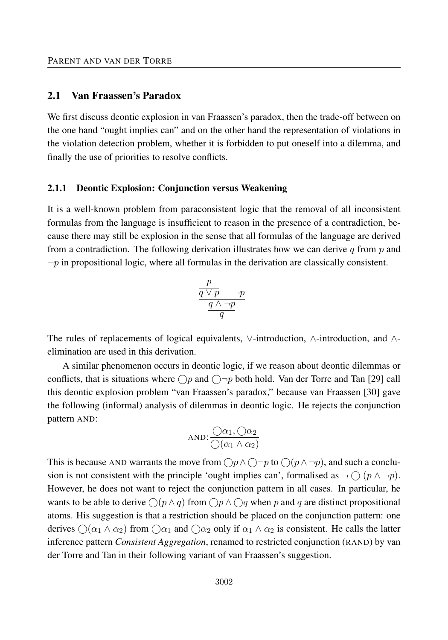#### 2.1 Van Fraassen's Paradox

We first discuss deontic explosion in van Fraassen's paradox, then the trade-off between on the one hand "ought implies can" and on the other hand the representation of violations in the violation detection problem, whether it is forbidden to put oneself into a dilemma, and finally the use of priorities to resolve conflicts.

#### 2.1.1 Deontic Explosion: Conjunction versus Weakening

It is a well-known problem from paraconsistent logic that the removal of all inconsistent formulas from the language is insufficient to reason in the presence of a contradiction, because there may still be explosion in the sense that all formulas of the language are derived from a contradiction. The following derivation illustrates how we can derive *q* from *p* and  $\neg p$  in propositional logic, where all formulas in the derivation are classically consistent.

$$
\frac{\frac{p}{q \vee p} \qquad \neg p}{\frac{q \wedge \neg p}{q}}
$$

The rules of replacements of logical equivalents, ∨-introduction, ∧-introduction, and ∧ elimination are used in this derivation.

A similar phenomenon occurs in deontic logic, if we reason about deontic dilemmas or conflicts, that is situations where  $\bigcap p$  and  $\bigcap \neg p$  both hold. Van der Torre and Tan [29] call this deontic explosion problem "van Fraassen's paradox," because van Fraassen [30] gave the following (informal) analysis of dilemmas in deontic logic. He rejects the conjunction pattern AND:

AND: 
$$
\frac{\bigcirc \alpha_1, \bigcirc \alpha_2}{\bigcirc (\alpha_1 \land \alpha_2)}
$$

This is because AND warrants the move from  $\bigcap p \wedge \bigcap \neg p$  to  $\bigcap (p \wedge \neg p)$ , and such a conclusion is not consistent with the principle 'ought implies can', formalised as  $\neg \bigcirc (p \land \neg p)$ . However, he does not want to reject the conjunction pattern in all cases. In particular, he wants to be able to derive  $\bigcap (p \land q)$  from  $\bigcap p \land \bigcap q$  when p and q are distinct propositional atoms. His suggestion is that a restriction should be placed on the conjunction pattern: one derives  $\bigcirc$  ( $\alpha_1 \wedge \alpha_2$ ) from  $\bigcirc \alpha_1$  and  $\bigcirc \alpha_2$  only if  $\alpha_1 \wedge \alpha_2$  is consistent. He calls the latter inference pattern *Consistent Aggregation*, renamed to restricted conjunction (RAND) by van der Torre and Tan in their following variant of van Fraassen's suggestion.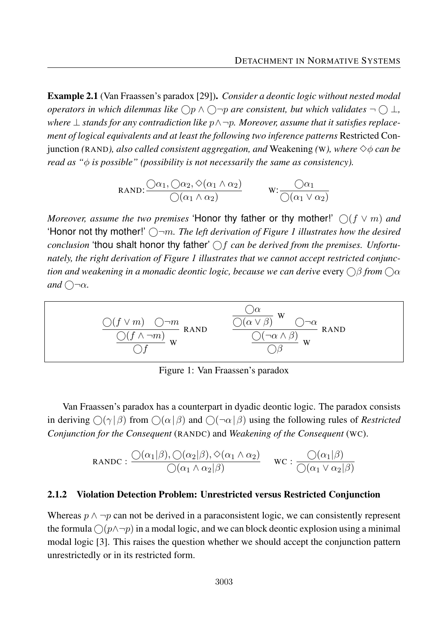Example 2.1 (Van Fraassen's paradox [29]). *Consider a deontic logic without nested modal operators in which dilemmas like*  $\bigcirc p \wedge \bigcirc \neg p$  *are consistent, but which validates*  $\neg \bigcirc \bot$ , *where* ⊥ *stands for any contradiction like p*∧¬*p. Moreover, assume that it satisfies replacement of logical equivalents and at least the following two inference patterns* Restricted Con*junction (RAND), also called consistent aggregation, and Weakening (W), where*  $\diamondsuit \phi$  *can be read as "φ is possible" (possibility is not necessarily the same as consistency).*

$$
RAND: \frac{\bigcirc \alpha_1, \bigcirc \alpha_2, \Diamond(\alpha_1 \land \alpha_2)}{\bigcirc(\alpha_1 \land \alpha_2)} \qquad \qquad W: \frac{\bigcirc \alpha_1}{\bigcirc(\alpha_1 \lor \alpha_2)}
$$

*Moreover, assume the two premises* 'Honor thy father or thy mother!'  $\bigcirc$  ( $f \vee m$ ) and 'Honor not thy mother!'  $\bigcap$ *m. The left derivation of Figure 1 illustrates how the desired conclusion* 'thou shalt honor thy father'  $\bigcap f$  *can be derived from the premises. Unfortunately, the right derivation of Figure 1 illustrates that we cannot accept restricted conjunction and weakening in a monadic deontic logic, because we can derive every*  $\bigcirc$ β *from*  $\bigcirc$ α *and*  $\bigcap \neg \alpha$ *.* 

$$
\frac{\bigcirc (f \vee m) \quad \bigcirc \neg m}{\bigcirc (f \wedge \neg m)} \text{ RAND} \qquad \frac{\bigcirc \alpha}{\bigcirc (\alpha \vee \beta)} \le \bigcirc \neg \alpha}{\bigcirc (\neg \alpha \wedge \beta)} \text{ RAND}
$$

Figure 1: Van Fraassen's paradox

Van Fraassen's paradox has a counterpart in dyadic deontic logic. The paradox consists in deriving  $\bigcirc$  ( $\gamma$ | $\beta$ ) from  $\bigcirc$  ( $\alpha$ | $\beta$ ) and  $\bigcirc$  ( $\neg$  $\alpha$ | $\beta$ ) using the following rules of *Restricted Conjunction for the Consequent* (RANDC) and *Weakening of the Consequent* (WC).

$$
\text{RANDC}: \frac{\bigcirc(\alpha_1|\beta), \bigcirc(\alpha_2|\beta), \diamond(\alpha_1 \wedge \alpha_2)}{\bigcirc(\alpha_1 \wedge \alpha_2|\beta)} \quad \text{wc}: \frac{\bigcirc(\alpha_1|\beta)}{\bigcirc(\alpha_1 \vee \alpha_2|\beta)}
$$

#### 2.1.2 Violation Detection Problem: Unrestricted versus Restricted Conjunction

Whereas  $p \wedge \neg p$  can not be derived in a paraconsistent logic, we can consistently represent the formula  $\bigcap (p \wedge \neg p)$  in a modal logic, and we can block deontic explosion using a minimal modal logic [3]. This raises the question whether we should accept the conjunction pattern unrestrictedly or in its restricted form.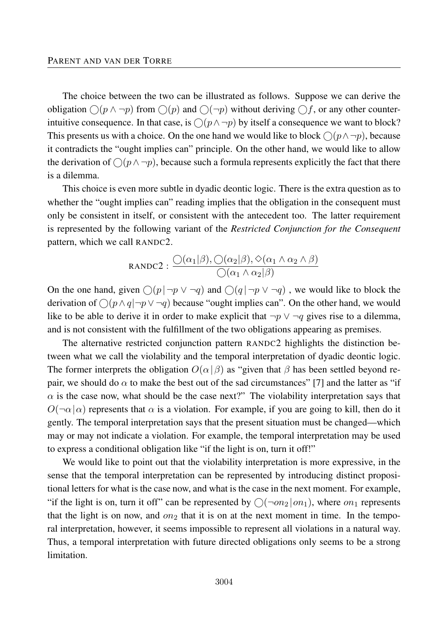The choice between the two can be illustrated as follows. Suppose we can derive the obligation  $\bigcirc$  ( $p \land \neg p$ ) from  $\bigcirc$  ( $p$ ) and  $\bigcirc$  ( $\neg p$ ) without deriving  $\bigcirc$  f, or any other counterintuitive consequence. In that case, is  $\bigcap (p \land \neg p)$  by itself a consequence we want to block? This presents us with a choice. On the one hand we would like to block  $\bigcap (p \wedge \neg p)$ , because it contradicts the "ought implies can" principle. On the other hand, we would like to allow the derivation of  $\bigcirc$ ( $p \land \neg p$ ), because such a formula represents explicitly the fact that there is a dilemma.

This choice is even more subtle in dyadic deontic logic. There is the extra question as to whether the "ought implies can" reading implies that the obligation in the consequent must only be consistent in itself, or consistent with the antecedent too. The latter requirement is represented by the following variant of the *Restricted Conjunction for the Consequent* pattern, which we call RANDC2.

$$
RANDC2: \frac{O(\alpha_1|\beta), O(\alpha_2|\beta), \Diamond(\alpha_1 \land \alpha_2 \land \beta)}{O(\alpha_1 \land \alpha_2|\beta)}
$$

On the one hand, given  $\bigcirc$  ( $p \mid \neg p \lor \neg q$ ) and  $\bigcirc$  ( $q \mid \neg p \lor \neg q$ ), we would like to block the derivation of  $\bigcap (p \land q | \neg p \lor \neg q)$  because "ought implies can". On the other hand, we would like to be able to derive it in order to make explicit that  $\neg p \lor \neg q$  gives rise to a dilemma, and is not consistent with the fulfillment of the two obligations appearing as premises.

The alternative restricted conjunction pattern RANDC2 highlights the distinction between what we call the violability and the temporal interpretation of dyadic deontic logic. The former interprets the obligation  $O(\alpha | \beta)$  as "given that  $\beta$  has been settled beyond repair, we should do  $\alpha$  to make the best out of the sad circumstances" [7] and the latter as "if  $\alpha$  is the case now, what should be the case next?" The violability interpretation says that  $O(\neg \alpha | \alpha)$  represents that  $\alpha$  is a violation. For example, if you are going to kill, then do it gently. The temporal interpretation says that the present situation must be changed—which may or may not indicate a violation. For example, the temporal interpretation may be used to express a conditional obligation like "if the light is on, turn it off!"

We would like to point out that the violability interpretation is more expressive, in the sense that the temporal interpretation can be represented by introducing distinct propositional letters for what is the case now, and what is the case in the next moment. For example, "if the light is on, turn it off" can be represented by  $\bigcap \{\neg on_2 | on_1\}$ , where  $\partial n_1$  represents that the light is on now, and  $on_2$  that it is on at the next moment in time. In the temporal interpretation, however, it seems impossible to represent all violations in a natural way. Thus, a temporal interpretation with future directed obligations only seems to be a strong limitation.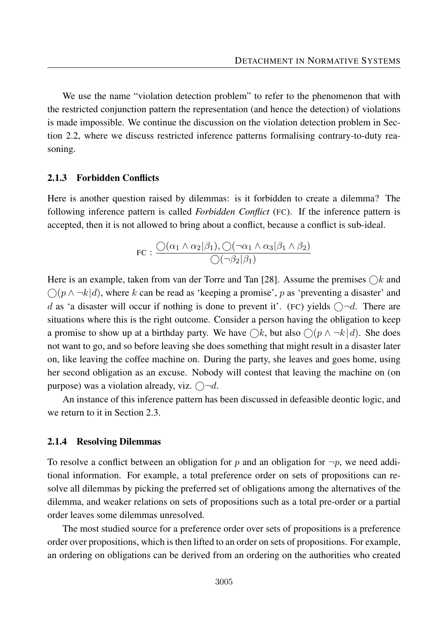We use the name "violation detection problem" to refer to the phenomenon that with the restricted conjunction pattern the representation (and hence the detection) of violations is made impossible. We continue the discussion on the violation detection problem in Section 2.2, where we discuss restricted inference patterns formalising contrary-to-duty reasoning.

#### 2.1.3 Forbidden Conflicts

Here is another question raised by dilemmas: is it forbidden to create a dilemma? The following inference pattern is called *Forbidden Conflict* (FC). If the inference pattern is accepted, then it is not allowed to bring about a conflict, because a conflict is sub-ideal.

FC: 
$$
\frac{\bigcirc(\alpha_1 \land \alpha_2|\beta_1), \bigcirc(\neg \alpha_1 \land \alpha_3|\beta_1 \land \beta_2)}{\bigcirc(\neg \beta_2|\beta_1)}
$$

Here is an example, taken from van der Torre and Tan [28]. Assume the premises  $\bigcirc k$  and  $\bigcirc$ ( $p \wedge \neg k | d$ ), where  $k$  can be read as 'keeping a promise',  $p$  as 'preventing a disaster' and *d* as 'a disaster will occur if nothing is done to prevent it'. (FC) yields  $\bigcap d$ . There are situations where this is the right outcome. Consider a person having the obligation to keep a promise to show up at a birthday party. We have  $\bigcirc k$ , but also  $\bigcirc (p \wedge \neg k | d)$ . She does not want to go, and so before leaving she does something that might result in a disaster later on, like leaving the coffee machine on. During the party, she leaves and goes home, using her second obligation as an excuse. Nobody will contest that leaving the machine on (on purpose) was a violation already, viz.  $\bigcap \neg d$ .

An instance of this inference pattern has been discussed in defeasible deontic logic, and we return to it in Section 2.3.

#### 2.1.4 Resolving Dilemmas

To resolve a conflict between an obligation for p and an obligation for  $\neg p$ , we need additional information. For example, a total preference order on sets of propositions can resolve all dilemmas by picking the preferred set of obligations among the alternatives of the dilemma, and weaker relations on sets of propositions such as a total pre-order or a partial order leaves some dilemmas unresolved.

The most studied source for a preference order over sets of propositions is a preference order over propositions, which is then lifted to an order on sets of propositions. For example, an ordering on obligations can be derived from an ordering on the authorities who created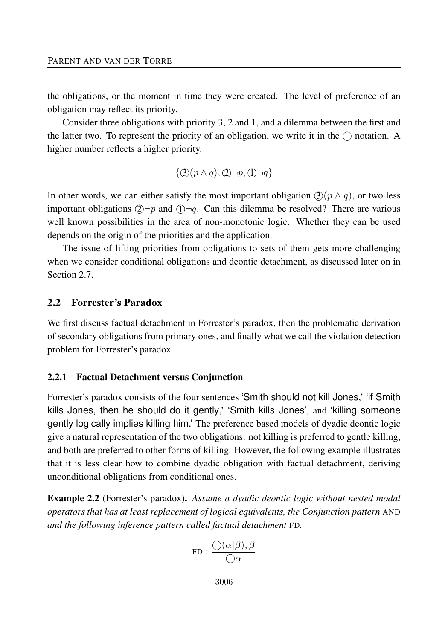the obligations, or the moment in time they were created. The level of preference of an obligation may reflect its priority.

Consider three obligations with priority 3, 2 and 1, and a dilemma between the first and the latter two. To represent the priority of an obligation, we write it in the  $\bigcap$  notation. A higher number reflects a higher priority.

$$
\{\textcircled{3}(p \land q), \textcircled{2}\neg p, \textcircled{1}\neg q\}
$$

In other words, we can either satisfy the most important obligation  $\mathcal{F}(\rho \wedge q)$ , or two less important obligations  $\mathcal{Q} \rightarrow p$  and  $\mathcal{Q} \rightarrow q$ . Can this dilemma be resolved? There are various well known possibilities in the area of non-monotonic logic. Whether they can be used depends on the origin of the priorities and the application.

The issue of lifting priorities from obligations to sets of them gets more challenging when we consider conditional obligations and deontic detachment, as discussed later on in Section 2.7

#### 2.2 Forrester's Paradox

We first discuss factual detachment in Forrester's paradox, then the problematic derivation of secondary obligations from primary ones, and finally what we call the violation detection problem for Forrester's paradox.

#### 2.2.1 Factual Detachment versus Conjunction

Forrester's paradox consists of the four sentences 'Smith should not kill Jones,' 'if Smith kills Jones, then he should do it gently,' 'Smith kills Jones', and 'killing someone gently logically implies killing him.' The preference based models of dyadic deontic logic give a natural representation of the two obligations: not killing is preferred to gentle killing, and both are preferred to other forms of killing. However, the following example illustrates that it is less clear how to combine dyadic obligation with factual detachment, deriving unconditional obligations from conditional ones.

Example 2.2 (Forrester's paradox). *Assume a dyadic deontic logic without nested modal operators that has at least replacement of logical equivalents, the Conjunction pattern* AND *and the following inference pattern called factual detachment* FD*.*

$$
\text{FD}: \frac{\bigcirc(\alpha|\beta), \beta}{\bigcirc \alpha}
$$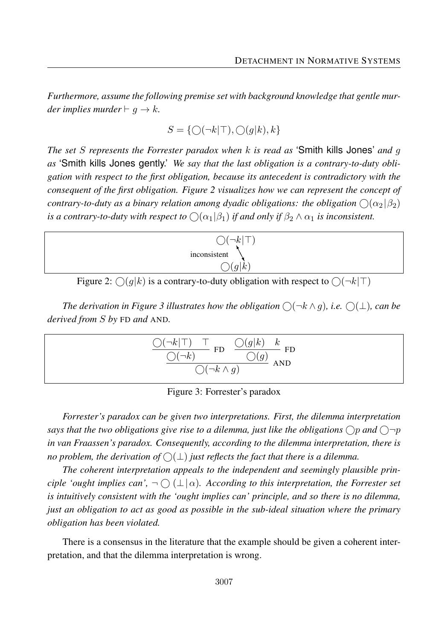*Furthermore, assume the following premise set with background knowledge that gentle murder implies murder*  $\vdash$  *g*  $\rightarrow$  *k.* 

$$
S=\{\bigcirc (\neg k \vert \top), \bigcirc (g \vert k), k\}
$$

*The set S represents the Forrester paradox when k is read as* 'Smith kills Jones' *and g as* 'Smith kills Jones gently.' *We say that the last obligation is a contrary-to-duty obligation with respect to the first obligation, because its antecedent is contradictory with the consequent of the first obligation. Figure 2 visualizes how we can represent the concept of contrary-to-duty as a binary relation among dyadic obligations: the obligation*  $\bigcirc$   $(\alpha_2|\beta_2)$ *is a contrary-to-duty with respect to*  $\bigcirc$  ( $\alpha_1|\beta_1$ ) *if and only if*  $\beta_2 \wedge \alpha_1$  *is inconsistent.* 



Figure 2:  $\bigcirc$  (g|k) is a contrary-to-duty obligation with respect to  $\bigcirc$  ( $\neg$ k| $\top$ )

*The derivation in Figure 3 illustrates how the obligation*  $\bigcirc$  $(\neg k \land g)$ *, i.e.*  $\bigcirc$  $(\bot)$ *, can be derived from S by* FD *and* AND*.*

$$
\frac{\bigcirc (\neg k|\top)\quad \top\quad\text{FD}\quad \frac{\bigcirc (g|k)\quad k}{\bigcirc (g)}\text{ FD}}{\bigcirc (\neg k\wedge g)\quad \text{AND}}
$$

Figure 3: Forrester's paradox

*Forrester's paradox can be given two interpretations. First, the dilemma interpretation says that the two obligations give rise to a dilemma, just like the obligations*  $\bigcirc$ *p* and  $\bigcirc$  $\neg$ *p in van Fraassen's paradox. Consequently, according to the dilemma interpretation, there is no problem, the derivation of*  $\bigcirc(\perp)$  *just reflects the fact that there is a dilemma.* 

*The coherent interpretation appeals to the independent and seemingly plausible principle 'ought implies can',*  $\neg$   $\bigcirc$   $(\bot | \alpha)$ *. According to this interpretation, the Forrester set is intuitively consistent with the 'ought implies can' principle, and so there is no dilemma, just an obligation to act as good as possible in the sub-ideal situation where the primary obligation has been violated.*

There is a consensus in the literature that the example should be given a coherent interpretation, and that the dilemma interpretation is wrong.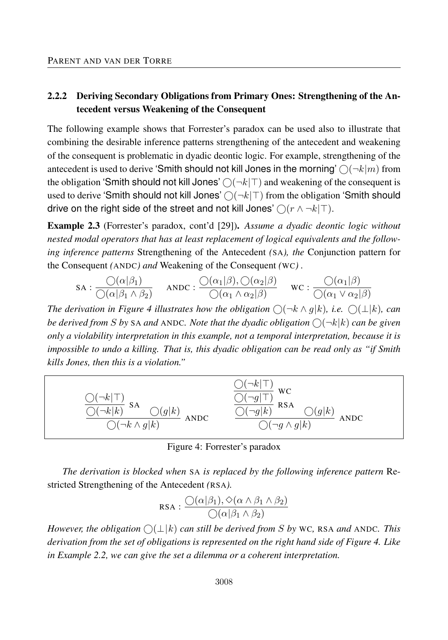# 2.2.2 Deriving Secondary Obligations from Primary Ones: Strengthening of the Antecedent versus Weakening of the Consequent

The following example shows that Forrester's paradox can be used also to illustrate that combining the desirable inference patterns strengthening of the antecedent and weakening of the consequent is problematic in dyadic deontic logic. For example, strengthening of the antecedent is used to derive 'Smith should not kill Jones in the morning'  $\bigcirc(\neg k|m)$  from the obligation 'Smith should not kill Jones'  $\bigcirc(\neg k \mid T)$  and weakening of the consequent is used to derive 'Smith should not kill Jones'  $\bigcirc(\neg k|\top)$  from the obligation 'Smith should drive on the right side of the street and not kill Jones'  $\bigcirc$  ( $r \wedge \neg k$ |T).

Example 2.3 (Forrester's paradox, cont'd [29]). *Assume a dyadic deontic logic without nested modal operators that has at least replacement of logical equivalents and the following inference patterns* Strengthening of the Antecedent *(*SA*), the* Conjunction pattern for the Consequent *(*ANDC*) and* Weakening of the Consequent *(*WC*) .*

$$
\text{SA}: \frac{\bigcirc(\alpha|\beta_1)}{\bigcirc(\alpha|\beta_1 \land \beta_2)} \quad \text{ANDC}: \frac{\bigcirc(\alpha_1|\beta), \bigcirc(\alpha_2|\beta)}{\bigcirc(\alpha_1 \land \alpha_2|\beta)} \quad \text{WC}: \frac{\bigcirc(\alpha_1|\beta)}{\bigcirc(\alpha_1 \lor \alpha_2|\beta)}
$$

*The derivation in Figure 4 illustrates how the obligation*  $\bigcap (\neg k \wedge q | k)$ , *i.e.*  $\bigcap (\perp k)$ , *can be derived from S by* SA *and* ANDC*. Note that the dyadic obligation*  $\bigcap (\neg k|k)$  *can be given only a violability interpretation in this example, not a temporal interpretation, because it is impossible to undo a killing. That is, this dyadic obligation can be read only as "if Smith kills Jones, then this is a violation."*



Figure 4: Forrester's paradox

*The derivation is blocked when* SA *is replaced by the following inference pattern* Restricted Strengthening of the Antecedent *(*RSA*).*

$$
RSA: \frac{O(\alpha|\beta_1), \diamondsuit(\alpha \land \beta_1 \land \beta_2)}{O(\alpha|\beta_1 \land \beta_2)}
$$

*However, the obligation*  $\bigcirc$ ( $\bot$ | $k$ ) *can still be derived from S by* WC, RSA *and* ANDC. This *derivation from the set of obligations is represented on the right hand side of Figure 4. Like in Example 2.2, we can give the set a dilemma or a coherent interpretation.*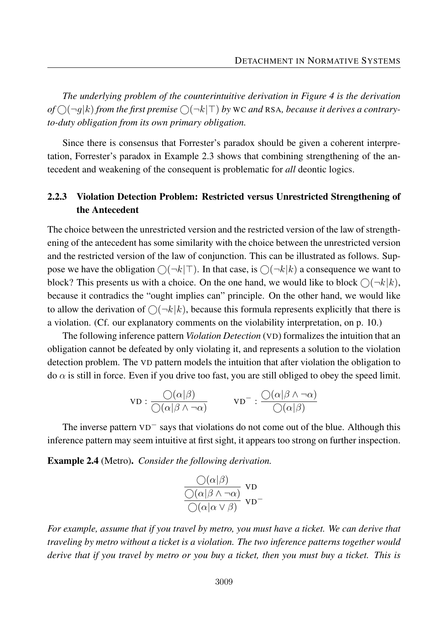*The underlying problem of the counterintuitive derivation in Figure 4 is the derivation*  $of \bigcirc (\neg g|k)$  *from the first premise*  $\bigcirc (\neg k|\top)$  *by* WC *and* RSA*, because it derives a contraryto-duty obligation from its own primary obligation.*

Since there is consensus that Forrester's paradox should be given a coherent interpretation, Forrester's paradox in Example 2.3 shows that combining strengthening of the antecedent and weakening of the consequent is problematic for *all* deontic logics.

### 2.2.3 Violation Detection Problem: Restricted versus Unrestricted Strengthening of the Antecedent

The choice between the unrestricted version and the restricted version of the law of strengthening of the antecedent has some similarity with the choice between the unrestricted version and the restricted version of the law of conjunction. This can be illustrated as follows. Suppose we have the obligation  $\bigcirc(\neg k | \top)$ . In that case, is  $\bigcirc(\neg k | k)$  a consequence we want to block? This presents us with a choice. On the one hand, we would like to block  $\bigcirc (\neg k|k)$ , because it contradics the "ought implies can" principle. On the other hand, we would like to allow the derivation of  $\bigcirc(\neg k|k)$ , because this formula represents explicitly that there is a violation. (Cf. our explanatory comments on the violability interpretation, on p. 10.)

The following inference pattern *Violation Detection* (VD) formalizes the intuition that an obligation cannot be defeated by only violating it, and represents a solution to the violation detection problem. The VD pattern models the intuition that after violation the obligation to do  $\alpha$  is still in force. Even if you drive too fast, you are still obliged to obey the speed limit.

$$
\text{VD}: \frac{\bigcirc(\alpha|\beta)}{\bigcirc(\alpha|\beta \land \neg \alpha)} \qquad \text{VD}^{-}: \frac{\bigcirc(\alpha|\beta \land \neg \alpha)}{\bigcirc(\alpha|\beta)}
$$

The inverse pattern VD− says that violations do not come out of the blue. Although this inference pattern may seem intuitive at first sight, it appears too strong on further inspection.

Example 2.4 (Metro). *Consider the following derivation.*

$$
\frac{\mathcal{O}(\alpha|\beta)}{\mathcal{O}(\alpha|\beta \wedge \neg \alpha)} \text{ vp} \n\mathcal{O}(\alpha|\alpha \vee \beta) \text{ vp}
$$

*For example, assume that if you travel by metro, you must have a ticket. We can derive that traveling by metro without a ticket is a violation. The two inference patterns together would derive that if you travel by metro or you buy a ticket, then you must buy a ticket. This is*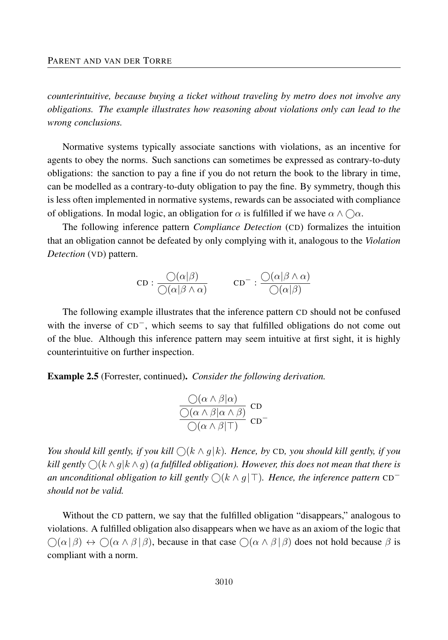*counterintuitive, because buying a ticket without traveling by metro does not involve any obligations. The example illustrates how reasoning about violations only can lead to the wrong conclusions.*

Normative systems typically associate sanctions with violations, as an incentive for agents to obey the norms. Such sanctions can sometimes be expressed as contrary-to-duty obligations: the sanction to pay a fine if you do not return the book to the library in time, can be modelled as a contrary-to-duty obligation to pay the fine. By symmetry, though this is less often implemented in normative systems, rewards can be associated with compliance of obligations. In modal logic, an obligation for  $\alpha$  is fulfilled if we have  $\alpha \wedge \bigcirc \alpha$ .

The following inference pattern *Compliance Detection* (CD) formalizes the intuition that an obligation cannot be defeated by only complying with it, analogous to the *Violation Detection* (VD) pattern.

$$
\text{CD} : \frac{\bigcirc(\alpha|\beta)}{\bigcirc(\alpha|\beta \wedge \alpha)} \qquad \text{CD}^- : \frac{\bigcirc(\alpha|\beta \wedge \alpha)}{\bigcirc(\alpha|\beta)}
$$

The following example illustrates that the inference pattern CD should not be confused with the inverse of CD−, which seems to say that fulfilled obligations do not come out of the blue. Although this inference pattern may seem intuitive at first sight, it is highly counterintuitive on further inspection.

Example 2.5 (Forrester, continued). *Consider the following derivation.*

$$
\frac{\bigcirc(\alpha \wedge \beta|\alpha)}{\bigcirc(\alpha \wedge \beta|\alpha \wedge \beta)} \text{CD} \atop \bigcirc(\alpha \wedge \beta|\top) \text{CD}^{-}
$$

*You should kill gently, if you kill*  $\bigcirc$   $(k \wedge q | k)$ . Hence, by CD, you should kill gently, if you *kill gently*  $\bigcap (k \wedge q)$  *(a fulfilled obligation). However, this does not mean that there is an unconditional obligation to kill gently*  $\bigcirc$ ( $k \wedge g$ |⊤). *Hence, the inference pattern* CD<sup>−</sup> *should not be valid.*

Without the CD pattern, we say that the fulfilled obligation "disappears," analogous to violations. A fulfilled obligation also disappears when we have as an axiom of the logic that  $\bigcap (\alpha \mid \beta) \leftrightarrow \bigcap (\alpha \land \beta \mid \beta)$ , because in that case  $\bigcap (\alpha \land \beta \mid \beta)$  does not hold because  $\beta$  is compliant with a norm.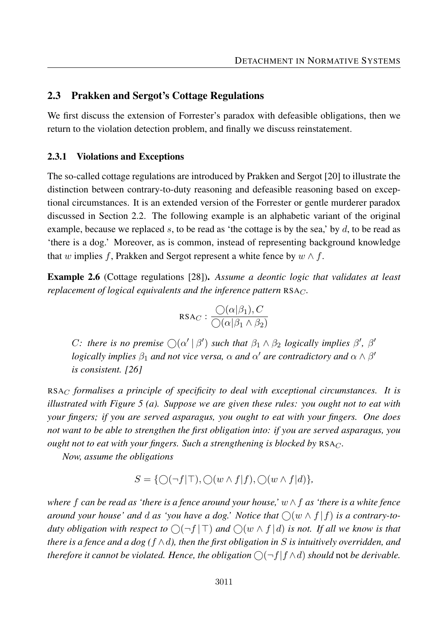#### 2.3 Prakken and Sergot's Cottage Regulations

We first discuss the extension of Forrester's paradox with defeasible obligations, then we return to the violation detection problem, and finally we discuss reinstatement.

#### 2.3.1 Violations and Exceptions

The so-called cottage regulations are introduced by Prakken and Sergot [20] to illustrate the distinction between contrary-to-duty reasoning and defeasible reasoning based on exceptional circumstances. It is an extended version of the Forrester or gentle murderer paradox discussed in Section 2.2. The following example is an alphabetic variant of the original example, because we replaced *s*, to be read as 'the cottage is by the sea,' by *d*, to be read as 'there is a dog.' Moreover, as is common, instead of representing background knowledge that *w* implies *f*, Prakken and Sergot represent a white fence by  $w \wedge f$ .

Example 2.6 (Cottage regulations [28]). *Assume a deontic logic that validates at least replacement of logical equivalents and the inference pattern* RSA*C.*

$$
RSA_C: \frac{\bigcirc(\alpha|\beta_1), C}{\bigcirc(\alpha|\beta_1 \land \beta_2)}
$$

*C*: there is no premise  $\bigcirc$   $(\alpha' | \beta')$  such that  $\beta_1 \wedge \beta_2$  *logically implies*  $\beta'$ ,  $\beta'$ *logically implies*  $\beta_1$  *and not vice versa,*  $\alpha$  *and*  $\alpha'$  *are contradictory and*  $\alpha \wedge \beta'$ *is consistent. [26]*

RSA*<sup>C</sup> formalises a principle of specificity to deal with exceptional circumstances. It is illustrated with Figure 5 (a). Suppose we are given these rules: you ought not to eat with your fingers; if you are served asparagus, you ought to eat with your fingers. One does not want to be able to strengthen the first obligation into: if you are served asparagus, you ought not to eat with your fingers. Such a strengthening is blocked by* RSA*C.*

*Now, assume the obligations*

$$
S = \{ \bigcirc (\neg f | \top), \bigcirc (w \wedge f | f), \bigcirc (w \wedge f | d) \},\
$$

*where f can be read as 'there is a fence around your house,' w* ∧*f as 'there is a white fence around your house' and d as 'you have a dog.' Notice that*  $\bigcirc(w \wedge f | f)$  *is a contrary-toduty obligation with respect to*  $\bigcirc$   $\bigcirc$   $\uparrow$   $\uparrow$   $\uparrow$  *and*  $\bigcirc$   $\bigcirc$   $w \wedge f \, d$  *is not. If all we know is that there is a fence and a dog (f* ∧*d), then the first obligation in S is intuitively overridden, and therefore it cannot be violated. Hence, the obligation*  $\bigcap$   $\neg f$   $f \wedge d$  *should* not *be derivable.*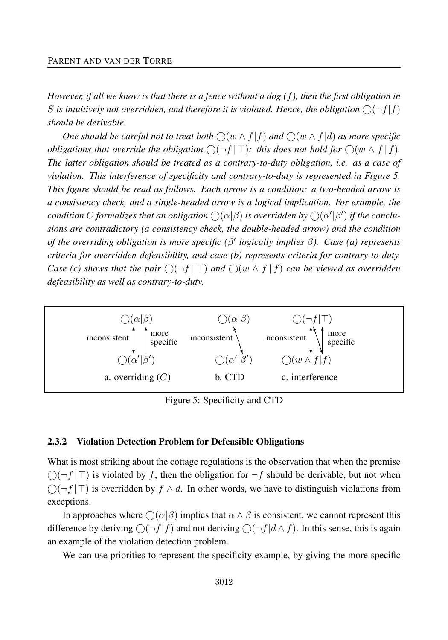*However, if all we know is that there is a fence without a dog (f), then the first obligation in* S is intuitively not overridden, and therefore it is violated. Hence, the obligation  $\bigcirc$   $\big(\neg f\vert f\big)$ *should be derivable.*

*One should be careful not to treat both*  $\bigcirc$   $(w \wedge f | f)$  *and*  $\bigcirc$   $(w \wedge f | d)$  *as more specific obligations that override the obligation*  $\bigcirc$   $\left(\neg f \mid \top\right)$ : this does not hold for  $\bigcirc$   $(w \land f \mid f)$ . *The latter obligation should be treated as a contrary-to-duty obligation, i.e. as a case of violation. This interference of specificity and contrary-to-duty is represented in Figure 5. This figure should be read as follows. Each arrow is a condition: a two-headed arrow is a consistency check, and a single-headed arrow is a logical implication. For example, the*  $f$  *condition*  $C$  *formalizes that an obligation*  $\bigcirc(\alpha|\beta)$  *is overridden by*  $\bigcirc(\alpha'|\beta')$  *if the conclusions are contradictory (a consistency check, the double-headed arrow) and the condition of the overriding obligation is more specific (β* 0 *logically implies β). Case (a) represents criteria for overridden defeasibility, and case (b) represents criteria for contrary-to-duty. Case (c) shows that the pair*  $\bigcirc$   $\bigcirc$   $\uparrow$   $f$   $\uparrow$   $\uparrow$  *and*  $\bigcirc$   $\bigcirc$   $\uparrow$   $f$   $\uparrow$   $f$   $\uparrow$   $f$   $\uparrow$   $f$   $\uparrow$   $f$   $\uparrow$   $f$   $\uparrow$   $f$   $\uparrow$   $f$   $\uparrow$   $f$   $\uparrow$   $f$   $\uparrow$   $f$   $\uparrow$   $f$   $\uparrow$   $f$   $\uparrow$   $f$ *defeasibility as well as contrary-to-duty.*



Figure 5: Specificity and CTD

#### 2.3.2 Violation Detection Problem for Defeasible Obligations

What is most striking about the cottage regulations is the observation that when the premise  $\bigcap$  $\bigcap$  $f$  |  $\top$  is violated by f, then the obligation for  $\neg$  f should be derivable, but not when  $\bigcirc$ (¬*f* | ⊤) is overridden by *f* ∧ *d*. In other words, we have to distinguish violations from exceptions.

In approaches where  $\bigcap (\alpha|\beta)$  implies that  $\alpha \wedge \beta$  is consistent, we cannot represent this difference by deriving  $\bigcirc$  (¬*f* |*f*) and not deriving  $\bigcirc$  (¬*f* |*d*  $\wedge$  *f*). In this sense, this is again an example of the violation detection problem.

We can use priorities to represent the specificity example, by giving the more specific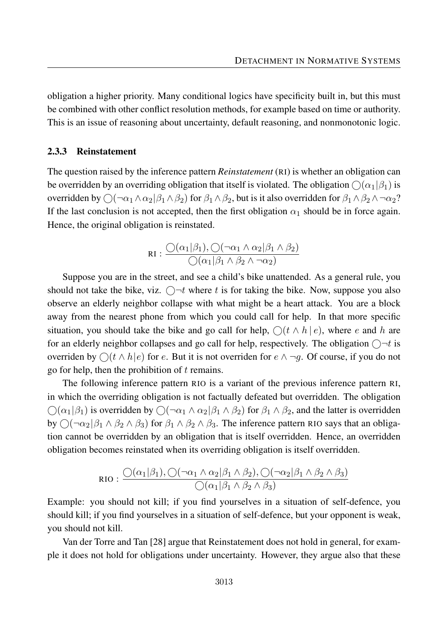obligation a higher priority. Many conditional logics have specificity built in, but this must be combined with other conflict resolution methods, for example based on time or authority. This is an issue of reasoning about uncertainty, default reasoning, and nonmonotonic logic.

#### 2.3.3 Reinstatement

The question raised by the inference pattern *Reinstatement* (RI) is whether an obligation can be overridden by an overriding obligation that itself is violated. The obligation  $\bigcirc$  ( $\alpha_1$  | $\beta_1$ ) is overridden by  $\bigcirc$   $(\neg \alpha_1 \land \alpha_2 | \beta_1 \land \beta_2)$  for  $\beta_1 \land \beta_2$ , but is it also overridden for  $\beta_1 \land \beta_2 \land \neg \alpha_2$ ? If the last conclusion is not accepted, then the first obligation  $\alpha_1$  should be in force again. Hence, the original obligation is reinstated.

$$
RI: \frac{\bigcirc(\alpha_1|\beta_1), \bigcirc(\neg\alpha_1 \land \alpha_2|\beta_1 \land \beta_2)}{\bigcirc(\alpha_1|\beta_1 \land \beta_2 \land \neg\alpha_2)}
$$

Suppose you are in the street, and see a child's bike unattended. As a general rule, you should not take the bike, viz.  $\bigcirc$  <sup>-*t*</sup> where *t* is for taking the bike. Now, suppose you also observe an elderly neighbor collapse with what might be a heart attack. You are a block away from the nearest phone from which you could call for help. In that more specific situation, you should take the bike and go call for help,  $\bigcap (t \wedge h \mid e)$ , where *e* and *h* are for an elderly neighbor collapses and go call for help, respectively. The obligation  $\bigcirc \neg t$  is overriden by  $\bigcirc (t \wedge h|e)$  for *e*. But it is not overriden for  $e \wedge \neg g$ . Of course, if you do not go for help, then the prohibition of *t* remains.

The following inference pattern RIO is a variant of the previous inference pattern RI, in which the overriding obligation is not factually defeated but overridden. The obligation  $\bigcirc$  ( $\alpha_1$ | $\beta_1$ ) is overridden by  $\bigcirc$  ( $\neg \alpha_1 \land \alpha_2$ | $\beta_1 \land \beta_2$ ) for  $\beta_1 \land \beta_2$ , and the latter is overridden by  $\bigcirc$  ( $\neg \alpha_2$  | $\beta_1 \land \beta_2 \land \beta_3$ ) for  $\beta_1 \land \beta_2 \land \beta_3$ . The inference pattern RIO says that an obligation cannot be overridden by an obligation that is itself overridden. Hence, an overridden obligation becomes reinstated when its overriding obligation is itself overridden.

$$
\text{RIO}: \frac{\bigcirc(\alpha_1|\beta_1), \bigcirc(\neg\alpha_1 \land \alpha_2|\beta_1 \land \beta_2), \bigcirc(\neg\alpha_2|\beta_1 \land \beta_2 \land \beta_3)\bigcirc(\alpha_1|\beta_1 \land \beta_2 \land \beta_3)}
$$

Example: you should not kill; if you find yourselves in a situation of self-defence, you should kill; if you find yourselves in a situation of self-defence, but your opponent is weak, you should not kill.

Van der Torre and Tan [28] argue that Reinstatement does not hold in general, for example it does not hold for obligations under uncertainty. However, they argue also that these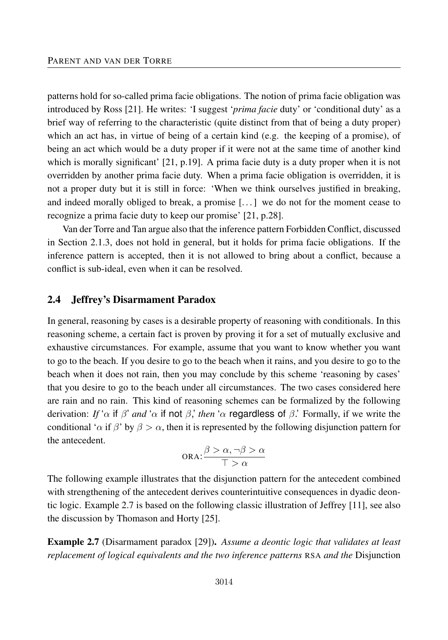patterns hold for so-called prima facie obligations. The notion of prima facie obligation was introduced by Ross [21]. He writes: 'I suggest '*prima facie* duty' or 'conditional duty' as a brief way of referring to the characteristic (quite distinct from that of being a duty proper) which an act has, in virtue of being of a certain kind (e.g. the keeping of a promise), of being an act which would be a duty proper if it were not at the same time of another kind which is morally significant' [21, p.19]. A prima facie duty is a duty proper when it is not overridden by another prima facie duty. When a prima facie obligation is overridden, it is not a proper duty but it is still in force: 'When we think ourselves justified in breaking, and indeed morally obliged to break, a promise [. . . ] we do not for the moment cease to recognize a prima facie duty to keep our promise' [21, p.28].

Van der Torre and Tan argue also that the inference pattern Forbidden Conflict, discussed in Section 2.1.3, does not hold in general, but it holds for prima facie obligations. If the inference pattern is accepted, then it is not allowed to bring about a conflict, because a conflict is sub-ideal, even when it can be resolved.

#### 2.4 Jeffrey's Disarmament Paradox

In general, reasoning by cases is a desirable property of reasoning with conditionals. In this reasoning scheme, a certain fact is proven by proving it for a set of mutually exclusive and exhaustive circumstances. For example, assume that you want to know whether you want to go to the beach. If you desire to go to the beach when it rains, and you desire to go to the beach when it does not rain, then you may conclude by this scheme 'reasoning by cases' that you desire to go to the beach under all circumstances. The two cases considered here are rain and no rain. This kind of reasoning schemes can be formalized by the following derivation: *If* '*α* if *β*' *and* '*α* if not *β*,' *then* '*α* regardless of *β*.' Formally, if we write the conditional '*α* if *β*' by  $\beta > \alpha$ , then it is represented by the following disjunction pattern for the antecedent.

$$
\text{ORA:} \frac{\beta > \alpha, \neg \beta > \alpha}{\top > \alpha}
$$

The following example illustrates that the disjunction pattern for the antecedent combined with strengthening of the antecedent derives counterintuitive consequences in dyadic deontic logic. Example 2.7 is based on the following classic illustration of Jeffrey [11], see also the discussion by Thomason and Horty [25].

Example 2.7 (Disarmament paradox [29]). *Assume a deontic logic that validates at least replacement of logical equivalents and the two inference patterns* RSA *and the* Disjunction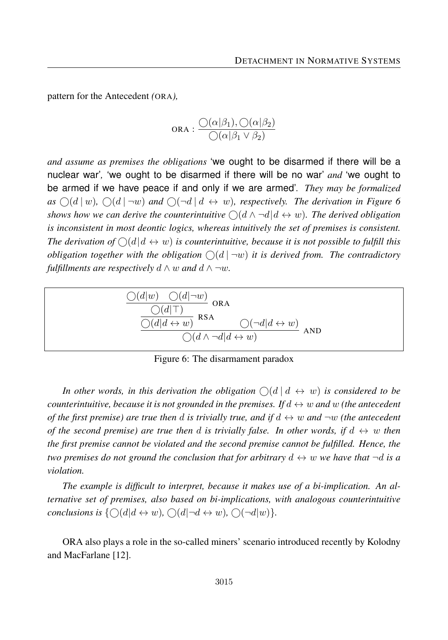pattern for the Antecedent *(*ORA*),*

$$
\text{ORA}: \frac{\bigcirc(\alpha|\beta_1), \bigcirc(\alpha|\beta_2)}{\bigcirc(\alpha|\beta_1 \vee \beta_2)}
$$

*and assume as premises the obligations* 'we ought to be disarmed if there will be a nuclear war'*,* 'we ought to be disarmed if there will be no war' *and* 'we ought to be armed if we have peace if and only if we are armed'*. They may be formalized*  $as \bigcirc (d \mid w)$ ,  $\bigcirc (d \mid \neg w)$  and  $\bigcirc (\neg d \mid d \leftrightarrow w)$ , respectively. The derivation in Figure 6 *shows how we can derive the counterintuitive*  $\bigcap (d \wedge \neg d | d \leftrightarrow w)$ . The derived obligation *is inconsistent in most deontic logics, whereas intuitively the set of premises is consistent. The derivation of*  $\bigcirc$   $(d|d \leftrightarrow w)$  *is counterintuitive, because it is not possible to fulfill this obligation together with the obligation*  $\bigcirc$  (*d*  $\vert \neg w \rangle$  *it is derived from. The contradictory fulfillments are respectively*  $d \wedge w$  *and*  $d \wedge \neg w$ *.* 



Figure 6: The disarmament paradox

In other words, in this derivation the obligation  $\bigcap (d \mid d \leftrightarrow w)$  is considered to be *counterintuitive, because it is not grounded in the premises. If*  $d \leftrightarrow w$  *and w (the antecedent of the first premise) are true then d is trivially true, and if*  $d \leftrightarrow w$  *and*  $\neg w$  *(the antecedent of the second premise) are true then d is trivially false. In other words, if*  $d \leftrightarrow w$  *then the first premise cannot be violated and the second premise cannot be fulfilled. Hence, the two premises do not ground the conclusion that for arbitrary*  $d \leftrightarrow w$  *we have that*  $\neg d$  *is a violation.*

*The example is difficult to interpret, because it makes use of a bi-implication. An alternative set of premises, also based on bi-implications, with analogous counterintuitive conclusions is*  $\{\bigcap (d | d \leftrightarrow w), \bigcap (d | \neg d \leftrightarrow w), \bigcap (\neg d | w)\}.$ 

ORA also plays a role in the so-called miners' scenario introduced recently by Kolodny and MacFarlane [12].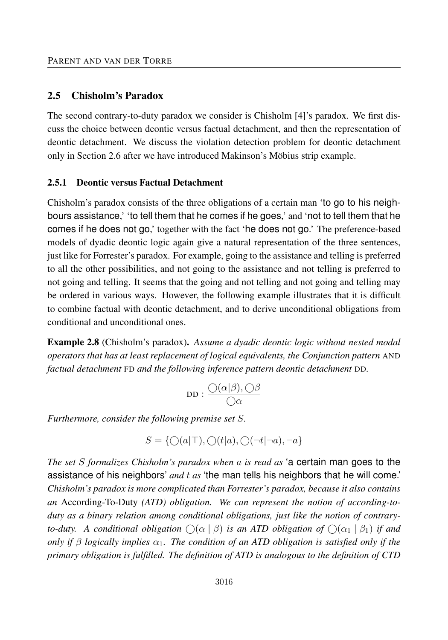#### 2.5 Chisholm's Paradox

The second contrary-to-duty paradox we consider is Chisholm [4]'s paradox. We first discuss the choice between deontic versus factual detachment, and then the representation of deontic detachment. We discuss the violation detection problem for deontic detachment only in Section 2.6 after we have introduced Makinson's Möbius strip example.

#### 2.5.1 Deontic versus Factual Detachment

Chisholm's paradox consists of the three obligations of a certain man 'to go to his neighbours assistance,' 'to tell them that he comes if he goes,' and 'not to tell them that he comes if he does not go,' together with the fact 'he does not go.' The preference-based models of dyadic deontic logic again give a natural representation of the three sentences, just like for Forrester's paradox. For example, going to the assistance and telling is preferred to all the other possibilities, and not going to the assistance and not telling is preferred to not going and telling. It seems that the going and not telling and not going and telling may be ordered in various ways. However, the following example illustrates that it is difficult to combine factual with deontic detachment, and to derive unconditional obligations from conditional and unconditional ones.

Example 2.8 (Chisholm's paradox). *Assume a dyadic deontic logic without nested modal operators that has at least replacement of logical equivalents, the Conjunction pattern* AND *factual detachment* FD *and the following inference pattern deontic detachment* DD*.*

$$
\texttt{DD}:\frac{\bigcirc(\alpha|\beta),\bigcirc\beta}{\bigcirc\alpha}
$$

*Furthermore, consider the following premise set S.*

$$
S = \{ \bigcirc (a|\top), \bigcirc (t|a), \bigcirc (\neg t|\neg a), \neg a \}
$$

*The set S formalizes Chisholm's paradox when a is read as* 'a certain man goes to the assistance of his neighbors' *and t as* 'the man tells his neighbors that he will come.' *Chisholm's paradox is more complicated than Forrester's paradox, because it also contains an* According-To-Duty *(ATD) obligation. We can represent the notion of according-toduty as a binary relation among conditional obligations, just like the notion of contraryto-duty.* A conditional obligation  $\bigcirc$   $(\alpha | \beta)$  *is an ATD obligation of*  $\bigcirc$   $(\alpha_1 | \beta_1)$  *if and only if β logically implies α*1*. The condition of an ATD obligation is satisfied only if the primary obligation is fulfilled. The definition of ATD is analogous to the definition of CTD*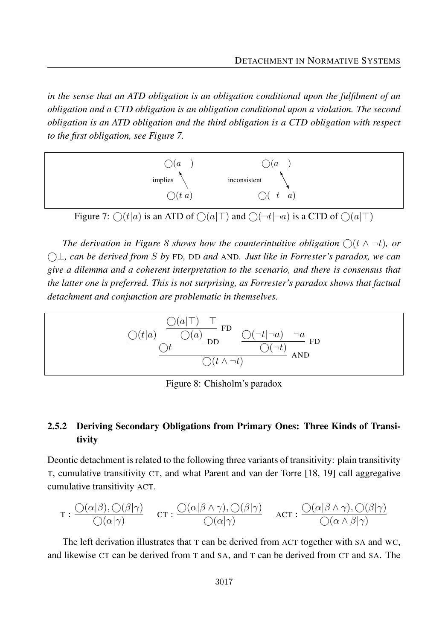in the sense that an ATD obligation is an obligation conditional upon the fulfilment of an *obligation and a CTD obligation is an obligation conditional upon a violation. The second obligation is an ATD obligation and the third obligation is a CTD obligation with respect to the first obligation, see Figure 7.* 



Figure 7:  $\bigcirc (t|a)$  is an ATD of  $\bigcirc (a|\top)$  and  $\bigcirc (\neg t|\neg a)$  is a CTD of  $\bigcirc (a|\top)$ 

*The derivation in Figure 8 shows how the counterintuitive obligation* (t t)*,* The derivation in Figure 8 shows how the counterintuitive obligation  $\bigcirc (t \wedge \neg t)$ , or  $\bigcirc$ ⊥, can be derived from *S* by FD, DD and AND. Just like in Forrester's paradox, we can *sensus that the latter one is preferred. This is not surprising, as Forrester's paradox give a dilemma and a coherent interpretation to the scenario, and there is consensus that shows that factual detachment and conjunction are problematic in themselves. the latter one is preferred. This is not surprising, as Forrester's paradox shows that factual* detachment and conjunction are problematic in themselves.



Figure 8: Chisholm's paradox

#### 2.5.2 Deriving Secondary Obligations from Primary Ones: Three Kinds of Transi- $20\%$  call aggregative transitivity  $\frac{1}{2}$ tivity

tic detachment is related to the following three variants of transitivity: plain tra Deontic detachment is related to the following three variants of transitivity: plain transitivity T, cumulative transitivity CT, and what Parent and van der Torre [18, 19] call aggregative cumulative transitivity ACT.

$$
\tau : \frac{\bigcirc(\alpha|\beta), \bigcirc(\beta|\gamma)}{\bigcirc(\alpha|\gamma)} \quad \text{ct} : \frac{\bigcirc(\alpha|\beta \land \gamma), \bigcirc(\beta|\gamma)}{\bigcirc(\alpha|\gamma)} \quad \text{act} : \frac{\bigcirc(\alpha|\beta \land \gamma), \bigcirc(\beta|\gamma)}{\bigcirc(\alpha \land \beta|\gamma)}
$$

The left derivation illustrates that T can be derived from ACT together with SA and WC, ation must alleged from T a  $\frac{1}{2}$  $A$ , and T can be derived from  $A$ and likewise  $CT$  can be derived from T and SA, and T can be derived from  $CT$  and SA. The  $CT$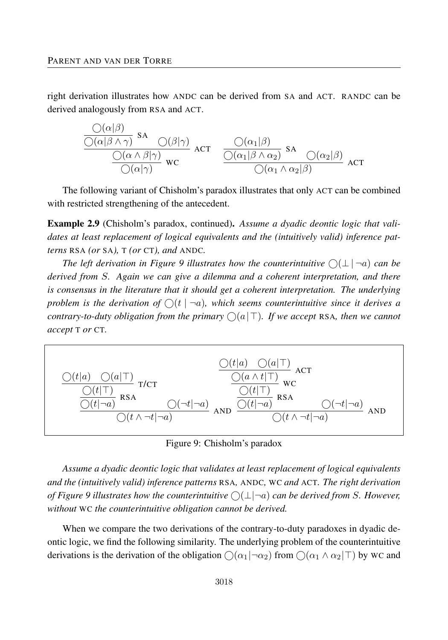right derivation illustrates how ANDC can be derived from SA and ACT. RANDC can be derived analogously from RSA and ACT.

$$
\frac{\frac{\bigcirc(\alpha|\beta)}{\bigcirc(\alpha|\beta\wedge\gamma)}\text{ sA}}{\frac{\bigcirc(\alpha\wedge\beta|\gamma)}{\bigcirc(\alpha|\gamma)}\text{ wc}}\text{ ACT } \frac{\frac{\bigcirc(\alpha_1|\beta)}{\bigcirc(\alpha_1|\beta\wedge\alpha_2)}\text{ sA}}{\frac{\bigcirc(\alpha_1|\beta\wedge\alpha_2)}{\bigcirc(\alpha_1\wedge\alpha_2|\beta)}\text{ ACT}
$$

The following variant of Chisholm's paradox illustrates that only ACT can be combined with restricted strengthening of the antecedent.

Example 2.9 (Chisholm's paradox, continued). *Assume a dyadic deontic logic that validates at least replacement of logical equivalents and the (intuitively valid) inference patterns* RSA *(or* SA*),* T *(or* CT*), and* ANDC*.*

*The left derivation in Figure 9 illustrates how the counterintuitive*  $\bigcirc$  ( $\perp$   $\mid$   $\neg$ *a*) *can be derived from S. Again we can give a dilemma and a coherent interpretation, and there is consensus in the literature that it should get a coherent interpretation. The underlying* problem is the derivation of  $\bigcirc$  ( $t \mid \neg a$ ), which seems counterintuitive since it derives a *contrary-to-duty obligation from the primary*  $\bigcirc$ ( $a$ |  $\top$ ). If we accept RSA, then we cannot *accept* T *or* CT*.*



Figure 9: Chisholm's paradox

*Assume a dyadic deontic logic that validates at least replacement of logical equivalents and the (intuitively valid) inference patterns* RSA*,* ANDC*,* WC *and* ACT*. The right derivation of Figure 9 illustrates how the counterintuitive*  $\bigcirc$   $(\perp$   $\neg a)$  *can be derived from S. However, without* WC *the counterintuitive obligation cannot be derived.*

When we compare the two derivations of the contrary-to-duty paradoxes in dyadic deontic logic, we find the following similarity. The underlying problem of the counterintuitive derivations is the derivation of the obligation  $\bigcirc$  ( $\alpha_1|\neg \alpha_2$ ) from  $\bigcirc$  ( $\alpha_1 \wedge \alpha_2|\top$ ) by WC and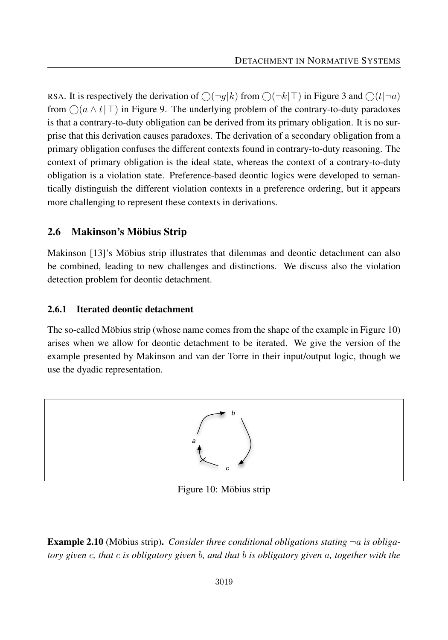RSA. It is respectively the derivation of  $\bigcirc(\neg g|k)$  from  $\bigcirc(\neg k|\top)$  in Figure 3 and  $\bigcirc(t|\neg a)$ from  $\bigcirc$ ( $a \wedge t$ | ⊤) in Figure 9. The underlying problem of the contrary-to-duty paradoxes is that a contrary-to-duty obligation can be derived from its primary obligation. It is no surprise that this derivation causes paradoxes. The derivation of a secondary obligation from a primary obligation confuses the different contexts found in contrary-to-duty reasoning. The context of primary obligation is the ideal state, whereas the context of a contrary-to-duty obligation is a violation state. Preference-based deontic logics were developed to semantically distinguish the different violation contexts in a preference ordering, but it appears more challenging to represent these contexts in derivations.

# 2.6 Makinson's Möbius Strip

Makinson [13]'s Möbius strip illustrates that dilemmas and deontic detachment can also be combined, leading to new challenges and distinctions. We discuss also the violation detection problem for deontic detachment.

#### 2.6.1 Iterated deontic detachment

The so-called Möbius strip (whose name comes from the shape of the example in Figure 10) arises when we allow for deontic detachment to be iterated. We give the version of the example presented by Makinson and van der Torre in their input/output logic, though we use the dyadic representation.



Figure 10: Möbius strip

Example 2.10 (Möbius strip). *Consider three conditional obligations stating* ¬*a is obligatory given c, that c is obligatory given b, and that b is obligatory given a, together with the*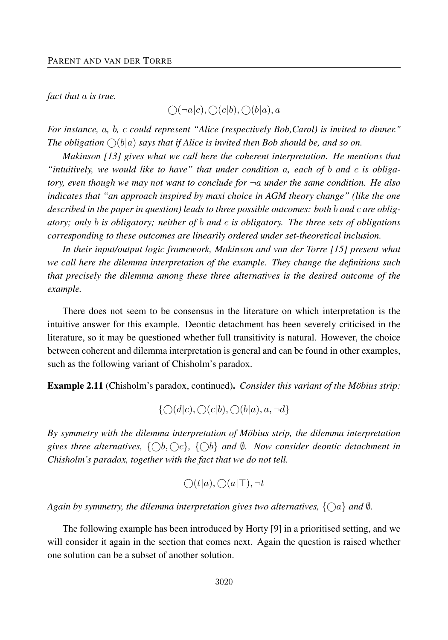*fact that a is true.*

 $\bigcap (\neg a|c), \bigcap (c|b), \bigcap (b|a), a$ 

*For instance, a, b, c could represent "Alice (respectively Bob,Carol) is invited to dinner."* The obligation  $\bigcap (b|a)$  says that if Alice is invited then Bob should be, and so on.

*Makinson [13] gives what we call here the coherent interpretation. He mentions that "intuitively, we would like to have" that under condition a, each of b and c is obligatory, even though we may not want to conclude for* ¬*a under the same condition. He also indicates that "an approach inspired by maxi choice in AGM theory change" (like the one described in the paper in question) leads to three possible outcomes: both b and c are obligatory; only b is obligatory; neither of b and c is obligatory. The three sets of obligations corresponding to these outcomes are linearily ordered under set-theoretical inclusion.*

*In their input/output logic framework, Makinson and van der Torre [15] present what we call here the dilemma interpretation of the example. They change the definitions such that precisely the dilemma among these three alternatives is the desired outcome of the example.*

There does not seem to be consensus in the literature on which interpretation is the intuitive answer for this example. Deontic detachment has been severely criticised in the literature, so it may be questioned whether full transitivity is natural. However, the choice between coherent and dilemma interpretation is general and can be found in other examples, such as the following variant of Chisholm's paradox.

Example 2.11 (Chisholm's paradox, continued). *Consider this variant of the Möbius strip:*

$$
\{\bigcirc(d|c),\bigcirc(c|b),\bigcirc(b|a),a,\neg d\}
$$

*By symmetry with the dilemma interpretation of Möbius strip, the dilemma interpretation* gives three alternatives,  $\{\bigcirc b, \bigcirc c\}, \{\bigcirc b\}$  and  $\emptyset$ *. Now consider deontic detachment in Chisholm's paradox, together with the fact that we do not tell.*

$$
\bigcirc(t|a),\bigcirc(a|\top),\neg t
$$

*Again by symmetry, the dilemma interpretation gives two alternatives,*  $\{ \bigcirc a \}$  *and* 0*.* 

The following example has been introduced by Horty [9] in a prioritised setting, and we will consider it again in the section that comes next. Again the question is raised whether one solution can be a subset of another solution.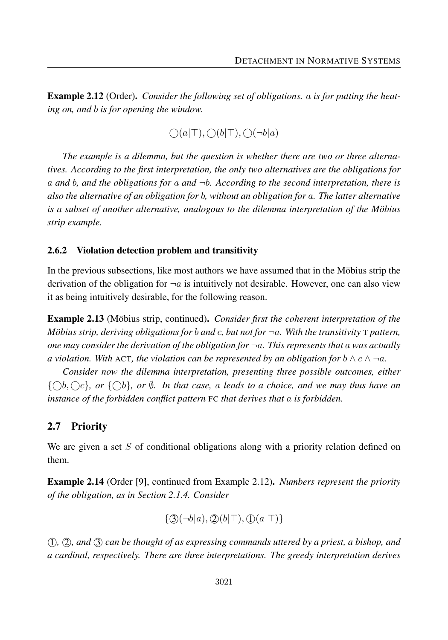Example 2.12 (Order). *Consider the following set of obligations. a is for putting the heating on, and b is for opening the window.*

$$
\bigcirc (a|\top), \bigcirc (b|\top), \bigcirc (\neg b|a)
$$

*The example is a dilemma, but the question is whether there are two or three alternatives. According to the first interpretation, the only two alternatives are the obligations for a and b, and the obligations for a and* ¬*b. According to the second interpretation, there is also the alternative of an obligation for b, without an obligation for a. The latter alternative is a subset of another alternative, analogous to the dilemma interpretation of the Möbius strip example.*

#### 2.6.2 Violation detection problem and transitivity

In the previous subsections, like most authors we have assumed that in the Möbius strip the derivation of the obligation for  $\neg a$  is intuitively not desirable. However, one can also view it as being intuitively desirable, for the following reason.

Example 2.13 (Möbius strip, continued). *Consider first the coherent interpretation of the Möbius strip, deriving obligations for b and c, but not for* ¬*a. With the transitivity* <sup>T</sup> *pattern, one may consider the derivation of the obligation for*  $\neg a$ *. This represents that*  $a$  *was actually a* violation. With ACT, the violation can be represented by an obligation for  $b \wedge c \wedge \neg a$ .

*Consider now the dilemma interpretation, presenting three possible outcomes, either*  $\{\bigcap b, \bigcap c\}$ , or  $\{\bigcap b\}$ , or  $\emptyset$ . In that case, a leads to a choice, and we may thus have an *instance of the forbidden conflict pattern* FC *that derives that a is forbidden.*

#### 2.7 Priority

We are given a set *S* of conditional obligations along with a priority relation defined on them.

Example 2.14 (Order [9], continued from Example 2.12). *Numbers represent the priority of the obligation, as in Section 2.1.4. Consider*

$$
\{\mathfrak{D}(\neg b|a),\mathfrak{D}(b|\top),\mathfrak{D}(a|\top)\}\
$$

 1 *,* 2 *, and* 3 *can be thought of as expressing commands uttered by a priest, a bishop, and a cardinal, respectively. There are three interpretations. The greedy interpretation derives*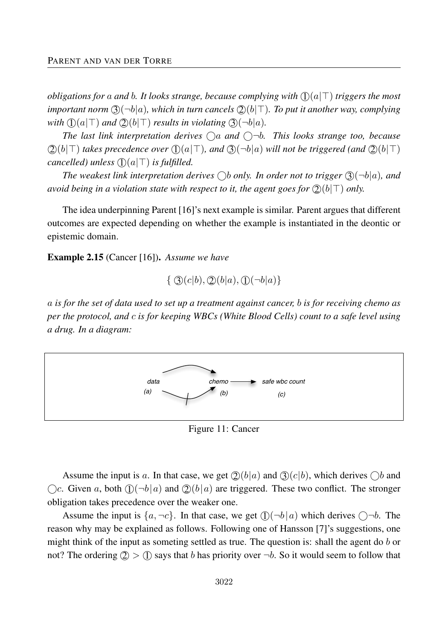*obligations for a and b. It looks strange, because complying with*  $\mathbb{O}(a|\mathsf{T})$  *triggers the most important norm*  $\Im(\neg b|a)$ *, which in turn cancels*  $\Im(b|\top)$ *. To put it another way, complying* with  $(1)(a|\top)$  and  $(2)(b|\top)$  results in violating  $(3)(\neg b|a)$ .

The last link interpretation derives  $\bigcap a$  and  $\bigcap -b$ . This looks strange too, because  $(2)(b|\top)$  takes precedence over  $(2)(a|\top)$ , and  $(3)(\neg b|a)$  will not be triggered (and  $(2)(b|\top)$ ) *cancelled)* unless  $($ [ $)(a|T)$  *is fulfilled.* 

*The weakest link interpretation derives*  $\bigcirc$ *b only. In order not to trigger*  $\mathcal{F}(\neg b|a)$ *, and avoid being in a violation state with respect to it, the agent goes for*  $(2)(b|\top)$  *only.* 

The idea underpinning Parent [16]'s next example is similar. Parent argues that different outcomes are expected depending on whether the example is instantiated in the deontic or epistemic domain.

Example 2.15 (Cancer [16]). *Assume we have*

 $\{ \circled{3}(c|b), \circled{2}(b|a), \circled{1}(-b|a) \}$ 

*a is for the set of data used to set up a treatment against cancer, b is for receiving chemo as per the protocol, and c is for keeping WBCs (White Blood Cells) count to a safe level using a drug. In a diagram:*



Figure 11: Cancer

Assume the input is a. In that case, we get  $\mathcal{Q}(b|a)$  and  $\mathcal{Q}(c|b)$ , which derives  $\bigcirc b$  and  $\bigcirc$  *c*. Given *a*, both  $\bigcirc$   $\bigcirc$   $\bigcirc$   $\bigcirc$   $\bigcirc$  and  $\bigcirc$   $\bigcirc$   $\bigcirc$  are triggered. These two conflict. The stronger obligation takes precedence over the weaker one.

Assume the input is  $\{a, \neg c\}$ . In that case, we get  $\mathbb{O}(\neg b|a)$  which derives  $\bigcirc \neg b$ . The reason why may be explained as follows. Following one of Hansson [7]'s suggestions, one might think of the input as someting settled as true. The question is: shall the agent do *b* or not? The ordering  $(2) > (1)$  says that *b* has priority over  $\neg b$ . So it would seem to follow that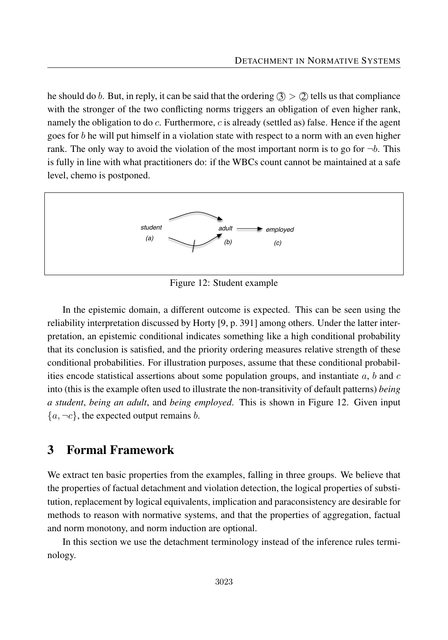he should do *b*. But, in reply, it can be said that the ordering  $\textcircled{3}$  >  $\textcircled{2}$  tells us that compliance with the stronger of the two conflicting norms triggers an obligation of even higher rank, namely the obligation to do *c*. Furthermore, *c* is already (settled as) false. Hence if the agent goes for *b* he will put himself in a violation state with respect to a norm with an even higher rank. The only way to avoid the violation of the most important norm is to go for  $\neg b$ . This is fully in line with what practitioners do: if the WBCs count cannot be maintained at a safe level, chemo is postponed.



Figure 12: Student example

In the epistemic domain, a different outcome is expected. This can be seen using the reliability interpretation discussed by Horty [9, p. 391] among others. Under the latter interpretation, an epistemic conditional indicates something like a high conditional probability that its conclusion is satisfied, and the priority ordering measures relative strength of these conditional probabilities. For illustration purposes, assume that these conditional probabilities encode statistical assertions about some population groups, and instantiate *a*, *b* and *c* into (this is the example often used to illustrate the non-transitivity of default patterns) *being a student*, *being an adult*, and *being employed*. This is shown in Figure 12. Given input  ${a, \neg c}$ , the expected output remains *b*.

# 3 Formal Framework

We extract ten basic properties from the examples, falling in three groups. We believe that the properties of factual detachment and violation detection, the logical properties of substitution, replacement by logical equivalents, implication and paraconsistency are desirable for methods to reason with normative systems, and that the properties of aggregation, factual and norm monotony, and norm induction are optional.

In this section we use the detachment terminology instead of the inference rules terminology.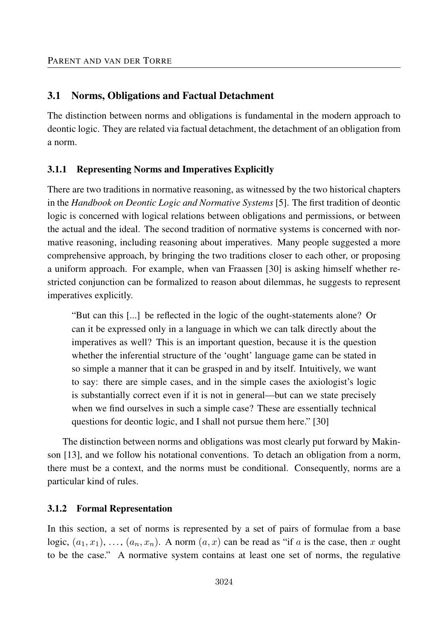#### 3.1 Norms, Obligations and Factual Detachment

The distinction between norms and obligations is fundamental in the modern approach to deontic logic. They are related via factual detachment, the detachment of an obligation from a norm.

#### 3.1.1 Representing Norms and Imperatives Explicitly

There are two traditions in normative reasoning, as witnessed by the two historical chapters in the *Handbook on Deontic Logic and Normative Systems* [5]. The first tradition of deontic logic is concerned with logical relations between obligations and permissions, or between the actual and the ideal. The second tradition of normative systems is concerned with normative reasoning, including reasoning about imperatives. Many people suggested a more comprehensive approach, by bringing the two traditions closer to each other, or proposing a uniform approach. For example, when van Fraassen [30] is asking himself whether restricted conjunction can be formalized to reason about dilemmas, he suggests to represent imperatives explicitly.

"But can this [...] be reflected in the logic of the ought-statements alone? Or can it be expressed only in a language in which we can talk directly about the imperatives as well? This is an important question, because it is the question whether the inferential structure of the 'ought' language game can be stated in so simple a manner that it can be grasped in and by itself. Intuitively, we want to say: there are simple cases, and in the simple cases the axiologist's logic is substantially correct even if it is not in general—but can we state precisely when we find ourselves in such a simple case? These are essentially technical questions for deontic logic, and I shall not pursue them here." [30]

The distinction between norms and obligations was most clearly put forward by Makinson [13], and we follow his notational conventions. To detach an obligation from a norm, there must be a context, and the norms must be conditional. Consequently, norms are a particular kind of rules.

#### 3.1.2 Formal Representation

In this section, a set of norms is represented by a set of pairs of formulae from a base logic,  $(a_1, x_1), \ldots, (a_n, x_n)$ . A norm  $(a, x)$  can be read as "if *a* is the case, then *x* ought to be the case." A normative system contains at least one set of norms, the regulative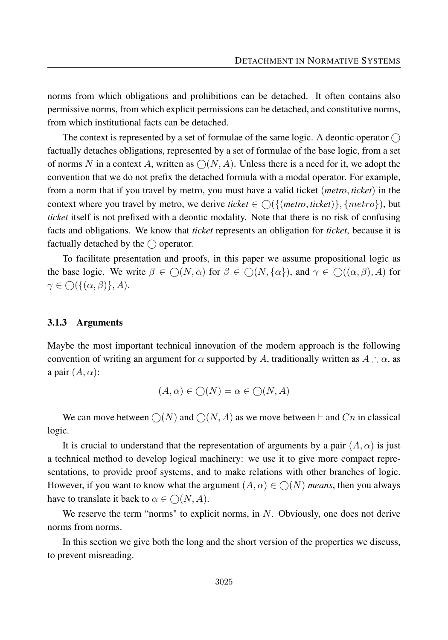norms from which obligations and prohibitions can be detached. It often contains also permissive norms, from which explicit permissions can be detached, and constitutive norms, from which institutional facts can be detached.

The context is represented by a set of formulae of the same logic. A deontic operator  $\bigcap$ factually detaches obligations, represented by a set of formulae of the base logic, from a set of norms N in a context A, written as  $\bigcap (N, A)$ . Unless there is a need for it, we adopt the convention that we do not prefix the detached formula with a modal operator. For example, from a norm that if you travel by metro, you must have a valid ticket (*metro, ticket*) in the context where you travel by metro, we derive *ticket*  $\in \bigcap \{ \{ \text{metric}, \text{tick} \} \}$ ,  $\{ \text{metric} \}$ , but *ticket* itself is not prefixed with a deontic modality. Note that there is no risk of confusing facts and obligations. We know that *ticket* represents an obligation for *ticket*, because it is factually detached by the  $\bigcirc$  operator.

To facilitate presentation and proofs, in this paper we assume propositional logic as the base logic. We write  $\beta \in \bigcap (N, \alpha)$  for  $\beta \in \bigcap (N, {\{\alpha\}}),$  and  $\gamma \in \bigcap ((\alpha, \beta), A)$  for  $\gamma \in \bigcap \{ \{ (\alpha, \beta) \}, A \}.$ 

#### 3.1.3 Arguments

Maybe the most important technical innovation of the modern approach is the following convention of writing an argument for  $\alpha$  supported by *A*, traditionally written as  $A : \alpha$ , as a pair  $(A, \alpha)$ :

$$
(A, \alpha) \in \bigcirc (N) = \alpha \in \bigcirc (N, A)
$$

We can move between  $\bigcirc(N)$  and  $\bigcirc(N, A)$  as we move between  $\vdash$  and *Cn* in classical logic.

It is crucial to understand that the representation of arguments by a pair  $(A, \alpha)$  is just a technical method to develop logical machinery: we use it to give more compact representations, to provide proof systems, and to make relations with other branches of logic. However, if you want to know what the argument  $(A, \alpha) \in \bigcap (N)$  *means*, then you always have to translate it back to  $\alpha \in \mathcal{O}(N, A)$ .

We reserve the term "norms" to explicit norms, in *N*. Obviously, one does not derive norms from norms.

In this section we give both the long and the short version of the properties we discuss, to prevent misreading.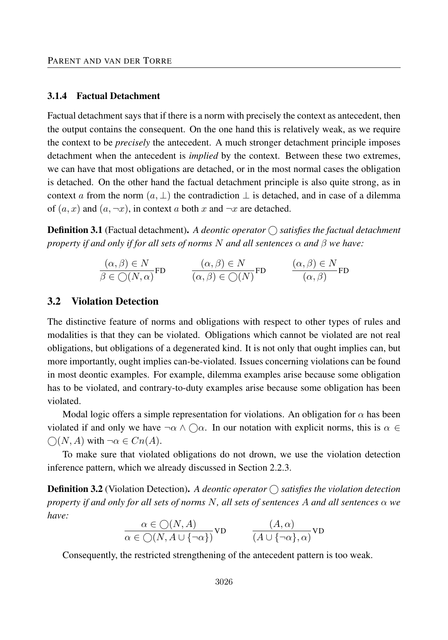#### 3.1.4 Factual Detachment

Factual detachment says that if there is a norm with precisely the context as antecedent, then the output contains the consequent. On the one hand this is relatively weak, as we require the context to be *precisely* the antecedent. A much stronger detachment principle imposes detachment when the antecedent is *implied* by the context. Between these two extremes, we can have that most obligations are detached, or in the most normal cases the obligation is detached. On the other hand the factual detachment principle is also quite strong, as in context *a* from the norm  $(a, \perp)$  the contradiction  $\perp$  is detached, and in case of a dilemma of  $(a, x)$  and  $(a, \neg x)$ , in context *a* both *x* and  $\neg x$  are detached.

**Definition 3.1** (Factual detachment). A deontic operator  $\bigcirc$  satisfies the factual detachment *property if and only if for all sets of norms N and all sentences α and β we have:*

$$
\frac{(\alpha, \beta) \in N}{\beta \in \bigcirc(N, \alpha)} \text{FD} \qquad \frac{(\alpha, \beta) \in N}{(\alpha, \beta) \in \bigcirc(N)} \text{FD} \qquad \frac{(\alpha, \beta) \in N}{(\alpha, \beta)} \text{FD}
$$

#### 3.2 Violation Detection

The distinctive feature of norms and obligations with respect to other types of rules and modalities is that they can be violated. Obligations which cannot be violated are not real obligations, but obligations of a degenerated kind. It is not only that ought implies can, but more importantly, ought implies can-be-violated. Issues concerning violations can be found in most deontic examples. For example, dilemma examples arise because some obligation has to be violated, and contrary-to-duty examples arise because some obligation has been violated.

Modal logic offers a simple representation for violations. An obligation for  $\alpha$  has been violated if and only we have  $\neg \alpha \wedge \bigcirc \alpha$ . In our notation with explicit norms, this is  $\alpha \in$  $\bigcap (N, A)$  with ¬ $\alpha \in Cn(A)$ .

To make sure that violated obligations do not drown, we use the violation detection inference pattern, which we already discussed in Section 2.2.3.

**Definition 3.2** (Violation Detection). A deontic operator  $\bigcap$  satisfies the violation detection *property if and only for all sets of norms N, all sets of sentences A and all sentences α we have:*

$$
\frac{\alpha \in \bigcirc(N, A)}{\alpha \in \bigcirc(N, A \cup \{\neg \alpha\})} \text{VD} \qquad \frac{(A, \alpha)}{(A \cup \{\neg \alpha\}, \alpha)} \text{VD}
$$

Consequently, the restricted strengthening of the antecedent pattern is too weak.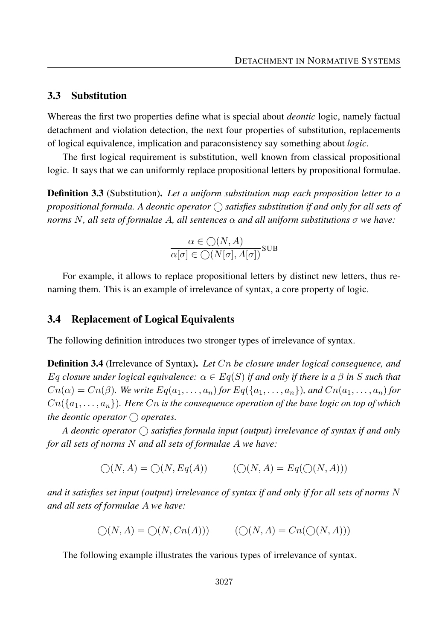#### 3.3 Substitution

Whereas the first two properties define what is special about *deontic* logic, namely factual detachment and violation detection, the next four properties of substitution, replacements of logical equivalence, implication and paraconsistency say something about *logic*.

The first logical requirement is substitution, well known from classical propositional logic. It says that we can uniformly replace propositional letters by propositional formulae.

Definition 3.3 (Substitution). *Let a uniform substitution map each proposition letter to a* propositional formula. A deontic operator  $\bigcirc$  satisfies substitution if and only for all sets of *norms N, all sets of formulae A, all sentences α and all uniform substitutions σ we have:*

$$
\frac{\alpha \in \bigcirc(N,A)}{\alpha[\sigma] \in \bigcirc(N[\sigma],A[\sigma])} \text{SUB}
$$

For example, it allows to replace propositional letters by distinct new letters, thus renaming them. This is an example of irrelevance of syntax, a core property of logic.

#### 3.4 Replacement of Logical Equivalents

The following definition introduces two stronger types of irrelevance of syntax.

Definition 3.4 (Irrelevance of Syntax). *Let Cn be closure under logical consequence, and Eq closure under logical equivalence: α* ∈ *Eq*(*S*) *if and only if there is a β in S such that*  $C_n(\alpha) = C_n(\beta)$ . We write  $Eq(a_1, \ldots, a_n)$  for  $Eq(\{a_1, \ldots, a_n\})$ , and  $C_n(a_1, \ldots, a_n)$  for  $C_n({a_1},...,a_n)$ *. Here*  $C_n$  *is the consequence operation of the base logic on top of which the deontic operator*  $\bigcirc$  *operates.* 

A deontic operator  $\bigcap$  satisfies formula input (output) irrelevance of syntax if and only *for all sets of norms N and all sets of formulae A we have:*

$$
\bigcirc(N, A) = \bigcirc(N, Eq(A)) \qquad (\bigcirc(N, A) = Eq(\bigcirc(N, A)))
$$

*and it satisfies set input (output) irrelevance of syntax if and only if for all sets of norms N and all sets of formulae A we have:*

$$
\bigcirc(N, A) = \bigcirc(N, Cn(A))) \qquad (\bigcirc(N, A) = Cn(\bigcirc(N, A)))
$$

The following example illustrates the various types of irrelevance of syntax.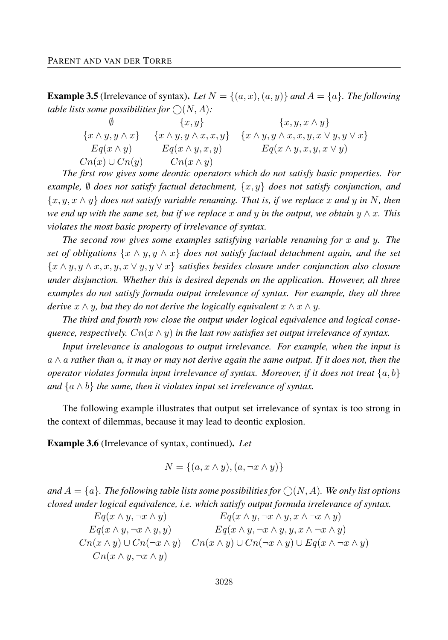**Example 3.5** (Irrelevance of syntax). Let  $N = \{(a, x), (a, y)\}$  and  $A = \{a\}$ . The following *table lists some possibilities for*  $\bigcirc(N, A)$ *:* 

∅ {*x, y*} {*x, y, x* ∧ *y*}  ${x \land y, y \land x}$  { ${x \land y, y \land x, x, y}$ } { ${x \land y, y \land x, x, y, x \lor y, y \lor x}$ }  $Eq(x \wedge y)$  *Eq*(*x*  $\wedge y, x, y$ ) *Eq*(*x*  $\wedge y, x, y, x \vee y$ )  $Cn(x) \cup Cn(y)$   $Cn(x \wedge y)$ 

*The first row gives some deontic operators which do not satisfy basic properties. For example,*  $\emptyset$  *does not satisfy factual detachment,*  $\{x, y\}$  *does not satisfy conjunction, and* {*x, y, x* ∧ *y*} *does not satisfy variable renaming. That is, if we replace x and y in N, then we end up with the same set, but if we replace x and y in the output, we obtain y* ∧ *x. This violates the most basic property of irrelevance of syntax.*

*The second row gives some examples satisfying variable renaming for x and y. The set of obligations* {*x* ∧ *y, y* ∧ *x*} *does not satisfy factual detachment again, and the set* {*x* ∧ *y, y* ∧ *x, x, y, x* ∨ *y, y* ∨ *x*} *satisfies besides closure under conjunction also closure under disjunction. Whether this is desired depends on the application. However, all three examples do not satisfy formula output irrelevance of syntax. For example, they all three derive*  $x \wedge y$ *, but they do not derive the logically equivalent*  $x \wedge x \wedge y$ *.* 

*The third and fourth row close the output under logical equivalence and logical consequence, respectively.*  $Cn(x \wedge y)$  *in the last row satisfies set output irrelevance of syntax.* 

*Input irrelevance is analogous to output irrelevance. For example, when the input is a* ∧ *a rather than a, it may or may not derive again the same output. If it does not, then the operator violates formula input irrelevance of syntax. Moreover, if it does not treat*  $\{a, b\}$ *and*  $\{a \land b\}$  *the same, then it violates input set irrelevance of syntax.* 

The following example illustrates that output set irrelevance of syntax is too strong in the context of dilemmas, because it may lead to deontic explosion.

Example 3.6 (Irrelevance of syntax, continued). *Let*

$$
N = \{(a, x \wedge y), (a, \neg x \wedge y)\}
$$

*and*  $A = \{a\}$ . The following table lists some possibilities for  $\bigcirc(N, A)$ . We only list options *closed under logical equivalence, i.e. which satisfy output formula irrelevance of syntax.*

$$
Eq(x \wedge y, \neg x \wedge y) \qquad Eq(x \wedge y, \neg x \wedge y, x \wedge \neg x \wedge y)
$$
  
\n
$$
Eq(x \wedge y, \neg x \wedge y, y) \qquad Eq(x \wedge y, \neg x \wedge y, y, x \wedge \neg x \wedge y)
$$
  
\n
$$
Cn(x \wedge y) \cup Cn(\neg x \wedge y) \qquad Cn(x \wedge y) \cup Cn(\neg x \wedge y) \cup Eq(x \wedge \neg x \wedge y)
$$
  
\n
$$
Cn(x \wedge y, \neg x \wedge y)
$$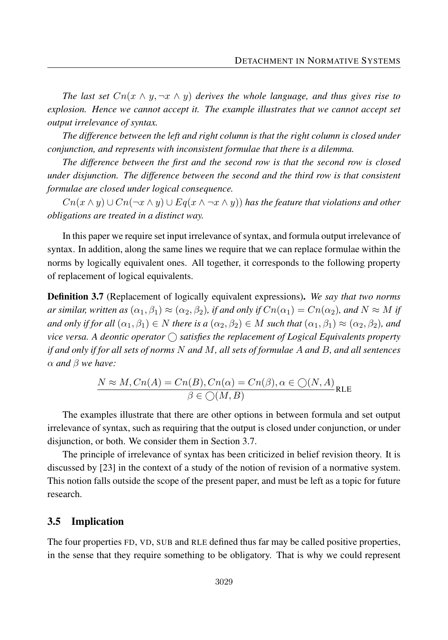*The last set*  $Cn(x \wedge y, \neg x \wedge y)$  *derives the whole language, and thus gives rise to explosion. Hence we cannot accept it. The example illustrates that we cannot accept set output irrelevance of syntax.*

*The difference between the left and right column is that the right column is closed under conjunction, and represents with inconsistent formulae that there is a dilemma.*

*The difference between the first and the second row is that the second row is closed under disjunction. The difference between the second and the third row is that consistent formulae are closed under logical consequence.*

*Cn*( $x \wedge y$ ) ∪ *Cn*( $\neg x \wedge y$ ) ∪ *Eq*( $x \wedge \neg x \wedge y$ ) *has the feature that violations and other obligations are treated in a distinct way.*

In this paper we require set input irrelevance of syntax, and formula output irrelevance of syntax. In addition, along the same lines we require that we can replace formulae within the norms by logically equivalent ones. All together, it corresponds to the following property of replacement of logical equivalents.

Definition 3.7 (Replacement of logically equivalent expressions). *We say that two norms*  $a$ *r* similar, written as  $(\alpha_1, \beta_1) \approx (\alpha_2, \beta_2)$ , if and only if  $Cn(\alpha_1) = Cn(\alpha_2)$ , and  $N \approx M$  if *and only if for all*  $(\alpha_1, \beta_1) \in N$  *there is a*  $(\alpha_2, \beta_2) \in M$  *such that*  $(\alpha_1, \beta_1) \approx (\alpha_2, \beta_2)$ *, and* vice versa. A deontic operator  $\bigcirc$  satisfies the replacement of Logical Equivalents property *if and only if for all sets of norms N and M, all sets of formulae A and B, and all sentences α and β we have:*

$$
\frac{N \approx M, Cn(A) = Cn(B), Cn(\alpha) = Cn(\beta), \alpha \in \bigcirc(N, A)}{\beta \in \bigcirc(M, B)}
$$
   
RE

The examples illustrate that there are other options in between formula and set output irrelevance of syntax, such as requiring that the output is closed under conjunction, or under disjunction, or both. We consider them in Section 3.7.

The principle of irrelevance of syntax has been criticized in belief revision theory. It is discussed by [23] in the context of a study of the notion of revision of a normative system. This notion falls outside the scope of the present paper, and must be left as a topic for future research.

#### 3.5 Implication

The four properties FD, VD, SUB and RLE defined thus far may be called positive properties, in the sense that they require something to be obligatory. That is why we could represent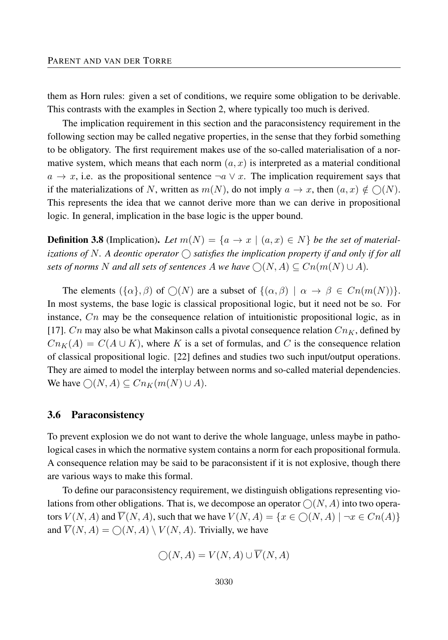them as Horn rules: given a set of conditions, we require some obligation to be derivable. This contrasts with the examples in Section 2, where typically too much is derived.

The implication requirement in this section and the paraconsistency requirement in the following section may be called negative properties, in the sense that they forbid something to be obligatory. The first requirement makes use of the so-called materialisation of a normative system, which means that each norm  $(a, x)$  is interpreted as a material conditional  $a \rightarrow x$ , i.e. as the propositional sentence  $\neg a \lor x$ . The implication requirement says that if the materializations of *N*, written as  $m(N)$ , do not imply  $a \to x$ , then  $(a, x) \notin \bigcirc(N)$ . This represents the idea that we cannot derive more than we can derive in propositional logic. In general, implication in the base logic is the upper bound.

**Definition 3.8** (Implication). Let  $m(N) = \{a \rightarrow x \mid (a, x) \in N\}$  be the set of materializations of N. A deontic operator  $\bigcirc$  satisfies the implication property if and only if for all *sets of norms N and all sets of sentences A we have*  $\bigcirc (N, A) \subseteq Cn(m(N) \cup A)$ *.* 

The elements  $({\alpha}, \beta)$  of  $\bigcirc(N)$  are a subset of  ${(\alpha, \beta) | \alpha \to \beta \in Cn(m(N))}$ . In most systems, the base logic is classical propositional logic, but it need not be so. For instance, *Cn* may be the consequence relation of intuitionistic propositional logic, as in [17]. *Cn* may also be what Makinson calls a pivotal consequence relation  $Cn<sub>K</sub>$ , defined by  $Cn<sub>K</sub>(A) = C(A \cup K)$ , where *K* is a set of formulas, and *C* is the consequence relation of classical propositional logic. [22] defines and studies two such input/output operations. They are aimed to model the interplay between norms and so-called material dependencies. We have  $\bigcirc(N, A) \subseteq Cn_K(m(N) \cup A)$ .

#### 3.6 Paraconsistency

To prevent explosion we do not want to derive the whole language, unless maybe in pathological cases in which the normative system contains a norm for each propositional formula. A consequence relation may be said to be paraconsistent if it is not explosive, though there are various ways to make this formal.

To define our paraconsistency requirement, we distinguish obligations representing violations from other obligations. That is, we decompose an operator  $\bigcirc(N, A)$  into two operators  $V(N, A)$  and  $\overline{V}(N, A)$ , such that we have  $V(N, A) = \{x \in \bigcap (N, A) \mid \neg x \in C_n(A)\}\$ and  $\overline{V}(N, A) = \bigcirc(N, A) \setminus V(N, A)$ . Trivially, we have

$$
\bigcirc(N, A) = V(N, A) \cup \overline{V}(N, A)
$$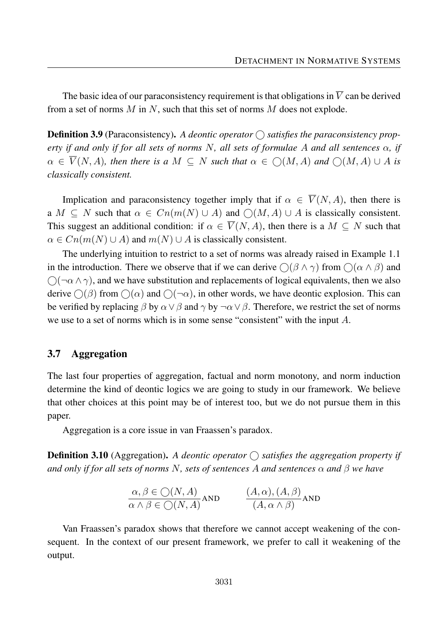The basic idea of our paraconsistency requirement is that obligations in  $\overline{V}$  can be derived from a set of norms *M* in *N*, such that this set of norms *M* does not explode.

**Definition 3.9** (Paraconsistency). A deontic operator  $\bigcap$  satisfies the paraconsistency prop*erty if and only if for all sets of norms N, all sets of formulae A and all sentences α, if*  $\alpha \in \overline{V}(N, A)$ *, then there is a*  $M \subseteq N$  *such that*  $\alpha \in \bigcap (M, A)$  *and*  $\bigcap (M, A) \cup A$  *is classically consistent.*

Implication and paraconsistency together imply that if  $\alpha \in \overline{V}(N, A)$ , then there is  $a \mid M \subseteq N$  such that  $\alpha \in Cn(m(N) \cup A)$  and  $\bigcirc (M, A) \cup A$  is classically consistent. This suggest an additional condition: if  $\alpha \in \overline{V}(N, A)$ , then there is a  $M \subseteq N$  such that  $\alpha \in Cn(m(N) \cup A)$  and  $m(N) \cup A$  is classically consistent.

The underlying intuition to restrict to a set of norms was already raised in Example 1.1 in the introduction. There we observe that if we can derive  $\bigcap (\beta \wedge \gamma)$  from  $\bigcap (\alpha \wedge \beta)$  and  $\bigcap$  $\neg \alpha \land \gamma$ , and we have substitution and replacements of logical equivalents, then we also derive  $\bigcap (\beta)$  from  $\bigcap (\alpha)$  and  $\bigcap (\neg \alpha)$ , in other words, we have deontic explosion. This can be verified by replacing  $\beta$  by  $\alpha \vee \beta$  and  $\gamma$  by  $\neg \alpha \vee \beta$ . Therefore, we restrict the set of norms we use to a set of norms which is in some sense "consistent" with the input *A*.

#### 3.7 Aggregation

The last four properties of aggregation, factual and norm monotony, and norm induction determine the kind of deontic logics we are going to study in our framework. We believe that other choices at this point may be of interest too, but we do not pursue them in this paper.

Aggregation is a core issue in van Fraassen's paradox.

**Definition 3.10** (Aggregation). A deontic operator  $\bigcirc$  satisfies the aggregation property if *and only if for all sets of norms N, sets of sentences A and sentences α and β we have*

$$
\frac{\alpha, \beta \in \bigcirc(N, A)}{\alpha \land \beta \in \bigcirc(N, A)} \text{AND} \qquad \frac{(A, \alpha), (A, \beta)}{(A, \alpha \land \beta)} \text{AND}
$$

Van Fraassen's paradox shows that therefore we cannot accept weakening of the consequent. In the context of our present framework, we prefer to call it weakening of the output.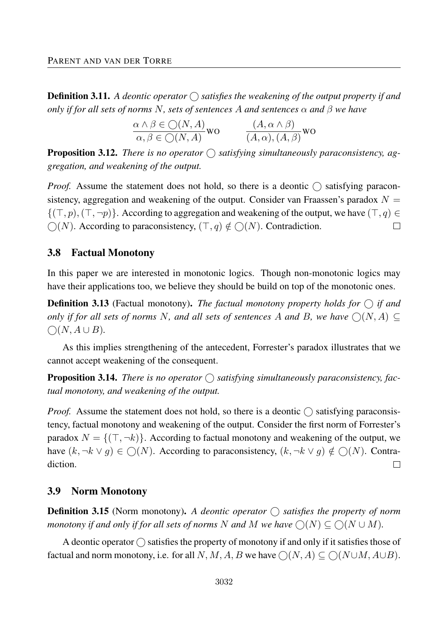**Definition 3.11.** A deontic operator  $\bigcirc$  satisfies the weakening of the output property if and *only if for all sets of norms N, sets of sentences A and sentences α and β we have*

$$
\frac{\alpha \land \beta \in \bigcirc(N, A)}{\alpha, \beta \in \bigcirc(N, A)} \text{wo} \qquad \frac{(A, \alpha \land \beta)}{(A, \alpha), (A, \beta)} \text{wo}
$$

**Proposition 3.12.** *There is no operator*  $\bigcirc$  *satisfying simultaneously paraconsistency, aggregation, and weakening of the output.*

*Proof.* Assume the statement does not hold, so there is a deontic  $\bigcap$  satisfying paraconsistency, aggregation and weakening of the output. Consider van Fraassen's paradox  $N =$  $\{(\top, p), (\top, \neg p)\}\$ . According to aggregation and weakening of the output, we have  $(\top, q) \in$  $\bigcap (N)$ . According to paraconsistency,  $(\top, q) \notin \bigcap (N)$ . Contradiction.  $\Box$ 

#### 3.8 Factual Monotony

In this paper we are interested in monotonic logics. Though non-monotonic logics may have their applications too, we believe they should be build on top of the monotonic ones.

**Definition 3.13** (Factual monotony). *The factual monotony property holds for*  $\bigcap$  *if and only if for all sets of norms N, and all sets of sentences A and B, we have*  $\bigcirc$   $(N, A) \subseteq$  $∩(N, A ∪ B).$ 

As this implies strengthening of the antecedent, Forrester's paradox illustrates that we cannot accept weakening of the consequent.

**Proposition 3.14.** There is no operator  $\bigcap$  satisfying simultaneously paraconsistency, fac*tual monotony, and weakening of the output.*

*Proof.* Assume the statement does not hold, so there is a deontic  $\bigcirc$  satisfying paraconsistency, factual monotony and weakening of the output. Consider the first norm of Forrester's paradox  $N = \{(\top, \neg k)\}\$ . According to factual monotony and weakening of the output, we have  $(k, \neg k \lor g) \in \bigcirc (N)$ . According to paraconsistency,  $(k, \neg k \lor g) \notin \bigcirc (N)$ . Contradiction.  $\Box$ 

#### 3.9 Norm Monotony

**Definition 3.15** (Norm monotony). A deontic operator  $\bigcap$  satisfies the property of norm *monotony if and only if for all sets of norms N* and *M* we have  $\bigcirc(N) \subseteq \bigcirc(N \cup M)$ .

A deontic operator  $\bigcap$  satisfies the property of monotony if and only if it satisfies those of factual and norm monotony, i.e. for all N, M, A, B we have  $\bigcap (N, A) \subseteq \bigcap (N \cup M, A \cup B)$ .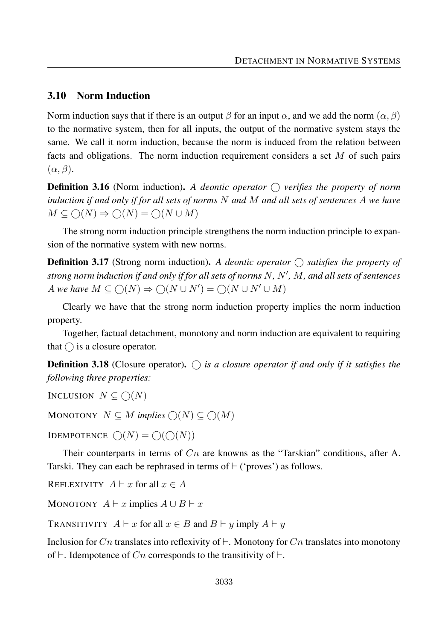### 3.10 Norm Induction

Norm induction says that if there is an output  $\beta$  for an input  $\alpha$ , and we add the norm  $(\alpha, \beta)$ to the normative system, then for all inputs, the output of the normative system stays the same. We call it norm induction, because the norm is induced from the relation between facts and obligations. The norm induction requirement considers a set *M* of such pairs (*α, β*).

Definition 3.16 (Norm induction). *A deontic operator verifies the property of norm induction if and only if for all sets of norms N and M and all sets of sentences A we have*  $M \subseteq \bigcirc(N) \Rightarrow \bigcirc(N) = \bigcirc(N \cup M)$ 

The strong norm induction principle strengthens the norm induction principle to expansion of the normative system with new norms.

**Definition 3.17** (Strong norm induction). A deontic operator  $\bigcirc$  satisfies the property of *strong norm induction if and only if for all sets of norms N, N*0 *, M, and all sets of sentences*  $A$  *we have*  $M \subseteq \bigcirc(N) \Rightarrow \bigcirc(N \cup N') = \bigcirc(N \cup N' \cup M)$ 

Clearly we have that the strong norm induction property implies the norm induction property.

Together, factual detachment, monotony and norm induction are equivalent to requiring that  $\bigcap$  is a closure operator.

**Definition 3.18** (Closure operator).  $\bigcap$  is a closure operator if and only if it satisfies the *following three properties:*

INCLUSION  $N \subseteq \bigcap(N)$ 

MONOTONY  $N \subseteq M$  *implies*  $\bigcirc(N) \subseteq \bigcirc(M)$ 

**IDEMPOTENCE**  $\bigcap (N) = \bigcap (\bigcap (N))$ 

Their counterparts in terms of *Cn* are knowns as the "Tarskian" conditions, after A. Tarski. They can each be rephrased in terms of  $\vdash$  ('proves') as follows.

REFLEXIVITY  $A \vdash x$  for all  $x \in A$ 

MONOTONY  $A \vdash x$  implies  $A \cup B \vdash x$ 

TRANSITIVITY  $A \vdash x$  for all  $x \in B$  and  $B \vdash y$  imply  $A \vdash y$ 

Inclusion for  $C_n$  translates into reflexivity of  $\vdash$ . Monotony for  $C_n$  translates into monotony of  $\vdash$ . Idempotence of *Cn* corresponds to the transitivity of  $\vdash$ .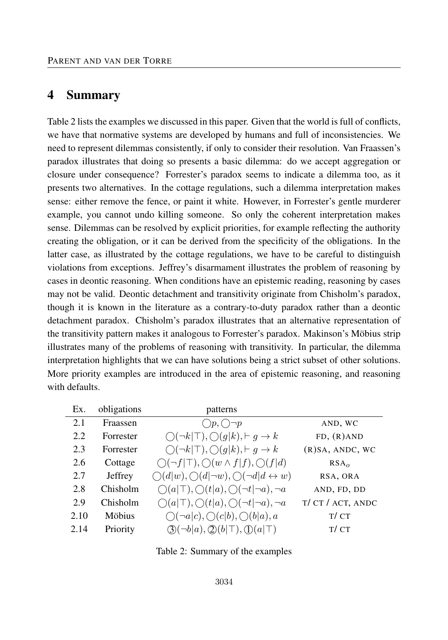# 4 Summary

Table 2 lists the examples we discussed in this paper. Given that the world is full of conflicts, we have that normative systems are developed by humans and full of inconsistencies. We need to represent dilemmas consistently, if only to consider their resolution. Van Fraassen's paradox illustrates that doing so presents a basic dilemma: do we accept aggregation or closure under consequence? Forrester's paradox seems to indicate a dilemma too, as it presents two alternatives. In the cottage regulations, such a dilemma interpretation makes sense: either remove the fence, or paint it white. However, in Forrester's gentle murderer example, you cannot undo killing someone. So only the coherent interpretation makes sense. Dilemmas can be resolved by explicit priorities, for example reflecting the authority creating the obligation, or it can be derived from the specificity of the obligations. In the latter case, as illustrated by the cottage regulations, we have to be careful to distinguish violations from exceptions. Jeffrey's disarmament illustrates the problem of reasoning by cases in deontic reasoning. When conditions have an epistemic reading, reasoning by cases may not be valid. Deontic detachment and transitivity originate from Chisholm's paradox, though it is known in the literature as a contrary-to-duty paradox rather than a deontic detachment paradox. Chisholm's paradox illustrates that an alternative representation of the transitivity pattern makes it analogous to Forrester's paradox. Makinson's Möbius strip illustrates many of the problems of reasoning with transitivity. In particular, the dilemma interpretation highlights that we can have solutions being a strict subset of other solutions. More priority examples are introduced in the area of epistemic reasoning, and reasoning with defaults.

| obligations | patterns                                                               |                    |
|-------------|------------------------------------------------------------------------|--------------------|
| Fraassen    | $\bigcirc p, \bigcirc \neg p$                                          | AND, WC            |
| Forrester   | $\bigcap(\neg k \top),\bigcirc(g k),\vdash g\to k$                     | $FD, (R)$ AND      |
| Forrester   | $\bigcap(\neg k \top),\bigcirc(g k),\vdash g\to k$                     | $(R)SA$ , ANDC, WC |
| Cottage     | $\bigcirc(\neg f \top), \bigcirc(w \wedge f f), \bigcirc(f d)$         | RSA <sub>o</sub>   |
| Jeffrey     | $\bigcirc(d w),\bigcirc(d \neg w),\bigcirc(\neg d d\leftrightarrow w)$ | RSA, ORA           |
| Chisholm    | $\bigcirc(a \top),\bigcirc(t a),\bigcirc(\neg t \neg a),\neg a$        | AND, FD, DD        |
| Chisholm    | $\bigcirc(a \top),\bigcirc(t a),\bigcirc(\neg t \neg a),\neg a$        | T/ CT / ACT, ANDC  |
| Möbius      | $\bigcirc (\neg a c), \bigcirc (c b), \bigcirc (b a), a$               | T/CT               |
| Priority    | $\mathcal{D}(\neg b a), \mathcal{D}(b \top), \mathcal{D}(a \top)$      | T/CT               |
|             |                                                                        |                    |

|  | Table 2: Summary of the examples |  |  |  |
|--|----------------------------------|--|--|--|
|--|----------------------------------|--|--|--|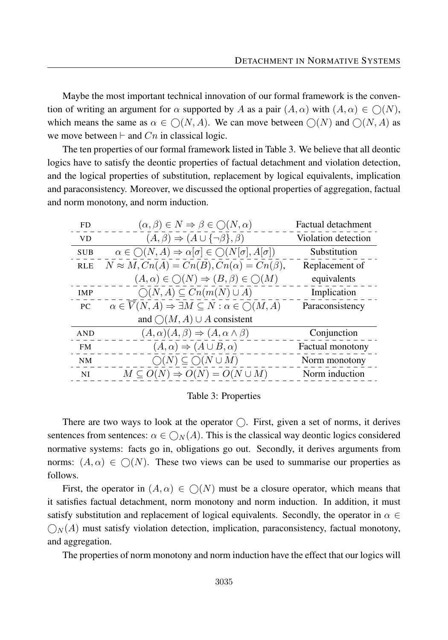Maybe the most important technical innovation of our formal framework is the convention of writing an argument for  $\alpha$  supported by *A* as a pair  $(A, \alpha)$  with  $(A, \alpha) \in \mathcal{O}(N)$ , which means the same as  $\alpha \in \bigcirc (N, A)$ . We can move between  $\bigcirc (N)$  and  $\bigcirc (N, A)$  as we move between  $\vdash$  and *Cn* in classical logic.

The ten properties of our formal framework listed in Table 3. We believe that all deontic logics have to satisfy the deontic properties of factual detachment and violation detection, and the logical properties of substitution, replacement by logical equivalents, implication and paraconsistency. Moreover, we discussed the optional properties of aggregation, factual and norm monotony, and norm induction.

| FD.        | $(\alpha, \beta) \in N \Rightarrow \beta \in \bigcirc(N, \alpha)$                              | <b>Factual detachment</b> |
|------------|------------------------------------------------------------------------------------------------|---------------------------|
| <b>VD</b>  | $(A, \beta) \Rightarrow (A \cup {\neg \beta}, \beta)$                                          | Violation detection       |
| <b>SUB</b> | $\alpha\in\bigcirc(N,A)\Rightarrow\alpha[\sigma]\in\bigcirc(N[\sigma],A[\sigma])$              | Substitution              |
| <b>RLE</b> | $N \approx M, Cn(A) = Cn(B), Cn(\alpha) = Cn(\beta),$                                          | Replacement of            |
|            | $(A, \alpha) \in \bigcirc(N) \Rightarrow (B, \beta) \in \bigcirc(M)$                           | equivalents               |
| <b>IMP</b> | $\bigcirc(N, A) \subseteq Cn(m(N) \cup A)$                                                     | Implication               |
| PC         | $\alpha \in \overline{V}(N, A) \Rightarrow \exists M \subseteq N : \alpha \in \bigcirc (M, A)$ | Paraconsistency           |
|            | and $\bigcirc(M, A) \cup A$ consistent                                                         |                           |
| <b>AND</b> | $(A, \alpha)(A, \beta) \Rightarrow (A, \alpha \wedge \beta)$                                   | Conjunction               |
| FM.        | $(A, \alpha) \Rightarrow (A \cup B, \alpha)$                                                   | Factual monotony          |
| NM         | $\bigcirc(N) \subseteq \bigcirc(N \cup M)$                                                     | Norm monotony             |
| NI         | $M \subseteq O(N) \Rightarrow O(N) = O(N \cup M)$                                              | Norm induction            |
|            |                                                                                                |                           |

Table 3: Properties

There are two ways to look at the operator  $\bigcirc$ . First, given a set of norms, it derives sentences from sentences:  $\alpha \in \bigcirc_N(A)$ . This is the classical way deontic logics considered normative systems: facts go in, obligations go out. Secondly, it derives arguments from norms:  $(A, \alpha) \in \bigcirc (N)$ . These two views can be used to summarise our properties as follows.

First, the operator in  $(A, \alpha) \in O(N)$  must be a closure operator, which means that it satisfies factual detachment, norm monotony and norm induction. In addition, it must satisfy substitution and replacement of logical equivalents. Secondly, the operator in  $\alpha \in$  $\mathcal{O}_N(A)$  must satisfy violation detection, implication, paraconsistency, factual monotony, and aggregation.

The properties of norm monotony and norm induction have the effect that our logics will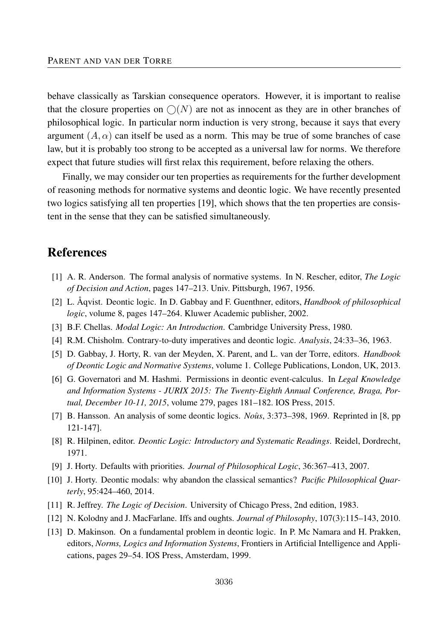behave classically as Tarskian consequence operators. However, it is important to realise that the closure properties on  $\bigcirc$ (N) are not as innocent as they are in other branches of philosophical logic. In particular norm induction is very strong, because it says that every argument  $(A, \alpha)$  can itself be used as a norm. This may be true of some branches of case law, but it is probably too strong to be accepted as a universal law for norms. We therefore expect that future studies will first relax this requirement, before relaxing the others.

Finally, we may consider our ten properties as requirements for the further development of reasoning methods for normative systems and deontic logic. We have recently presented two logics satisfying all ten properties [19], which shows that the ten properties are consistent in the sense that they can be satisfied simultaneously.

# References

- [1] A. R. Anderson. The formal analysis of normative systems. In N. Rescher, editor, *The Logic of Decision and Action*, pages 147–213. Univ. Pittsburgh, 1967, 1956.
- [2] L. Åqvist. Deontic logic. In D. Gabbay and F. Guenthner, editors, *Handbook of philosophical logic*, volume 8, pages 147–264. Kluwer Academic publisher, 2002.
- [3] B.F. Chellas. *Modal Logic: An Introduction*. Cambridge University Press, 1980.
- [4] R.M. Chisholm. Contrary-to-duty imperatives and deontic logic. *Analysis*, 24:33–36, 1963.
- [5] D. Gabbay, J. Horty, R. van der Meyden, X. Parent, and L. van der Torre, editors. *Handbook of Deontic Logic and Normative Systems*, volume 1. College Publications, London, UK, 2013.
- [6] G. Governatori and M. Hashmi. Permissions in deontic event-calculus. In *Legal Knowledge and Information Systems - JURIX 2015: The Twenty-Eighth Annual Conference, Braga, Portual, December 10-11, 2015*, volume 279, pages 181–182. IOS Press, 2015.
- [7] B. Hansson. An analysis of some deontic logics. *Noûs*, 3:373–398, 1969. Reprinted in [8, pp] 121-147].
- [8] R. Hilpinen, editor. *Deontic Logic: Introductory and Systematic Readings*. Reidel, Dordrecht, 1971.
- [9] J. Horty. Defaults with priorities. *Journal of Philosophical Logic*, 36:367–413, 2007.
- [10] J. Horty. Deontic modals: why abandon the classical semantics? *Pacific Philosophical Quarterly*, 95:424–460, 2014.
- [11] R. Jeffrey. *The Logic of Decision*. University of Chicago Press, 2nd edition, 1983.
- [12] N. Kolodny and J. MacFarlane. Iffs and oughts. *Journal of Philosophy*, 107(3):115–143, 2010.
- [13] D. Makinson. On a fundamental problem in deontic logic. In P. Mc Namara and H. Prakken, editors, *Norms, Logics and Information Systems*, Frontiers in Artificial Intelligence and Applications, pages 29–54. IOS Press, Amsterdam, 1999.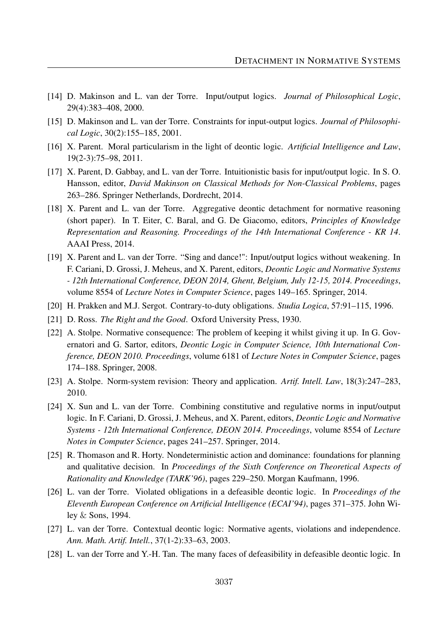- [14] D. Makinson and L. van der Torre. Input/output logics. *Journal of Philosophical Logic*, 29(4):383–408, 2000.
- [15] D. Makinson and L. van der Torre. Constraints for input-output logics. *Journal of Philosophical Logic*, 30(2):155–185, 2001.
- [16] X. Parent. Moral particularism in the light of deontic logic. *Artificial Intelligence and Law*, 19(2-3):75–98, 2011.
- [17] X. Parent, D. Gabbay, and L. van der Torre. Intuitionistic basis for input/output logic. In S. O. Hansson, editor, *David Makinson on Classical Methods for Non-Classical Problems*, pages 263–286. Springer Netherlands, Dordrecht, 2014.
- [18] X. Parent and L. van der Torre. Aggregative deontic detachment for normative reasoning (short paper). In T. Eiter, C. Baral, and G. De Giacomo, editors, *Principles of Knowledge Representation and Reasoning. Proceedings of the 14th International Conference - KR 14*. AAAI Press, 2014.
- [19] X. Parent and L. van der Torre. "Sing and dance!": Input/output logics without weakening. In F. Cariani, D. Grossi, J. Meheus, and X. Parent, editors, *Deontic Logic and Normative Systems - 12th International Conference, DEON 2014, Ghent, Belgium, July 12-15, 2014. Proceedings*, volume 8554 of *Lecture Notes in Computer Science*, pages 149–165. Springer, 2014.
- [20] H. Prakken and M.J. Sergot. Contrary-to-duty obligations. *Studia Logica*, 57:91–115, 1996.
- [21] D. Ross. *The Right and the Good*. Oxford University Press, 1930.
- [22] A. Stolpe. Normative consequence: The problem of keeping it whilst giving it up. In G. Governatori and G. Sartor, editors, *Deontic Logic in Computer Science, 10th International Conference, DEON 2010. Proceedings*, volume 6181 of *Lecture Notes in Computer Science*, pages 174–188. Springer, 2008.
- [23] A. Stolpe. Norm-system revision: Theory and application. *Artif. Intell. Law*, 18(3):247–283, 2010.
- [24] X. Sun and L. van der Torre. Combining constitutive and regulative norms in input/output logic. In F. Cariani, D. Grossi, J. Meheus, and X. Parent, editors, *Deontic Logic and Normative Systems - 12th International Conference, DEON 2014. Proceedings*, volume 8554 of *Lecture Notes in Computer Science*, pages 241–257. Springer, 2014.
- [25] R. Thomason and R. Horty. Nondeterministic action and dominance: foundations for planning and qualitative decision. In *Proceedings of the Sixth Conference on Theoretical Aspects of Rationality and Knowledge (TARK'96)*, pages 229–250. Morgan Kaufmann, 1996.
- [26] L. van der Torre. Violated obligations in a defeasible deontic logic. In *Proceedings of the Eleventh European Conference on Artificial Intelligence (ECAI'94)*, pages 371–375. John Wiley & Sons, 1994.
- [27] L. van der Torre. Contextual deontic logic: Normative agents, violations and independence. *Ann. Math. Artif. Intell.*, 37(1-2):33–63, 2003.
- [28] L. van der Torre and Y.-H. Tan. The many faces of defeasibility in defeasible deontic logic. In